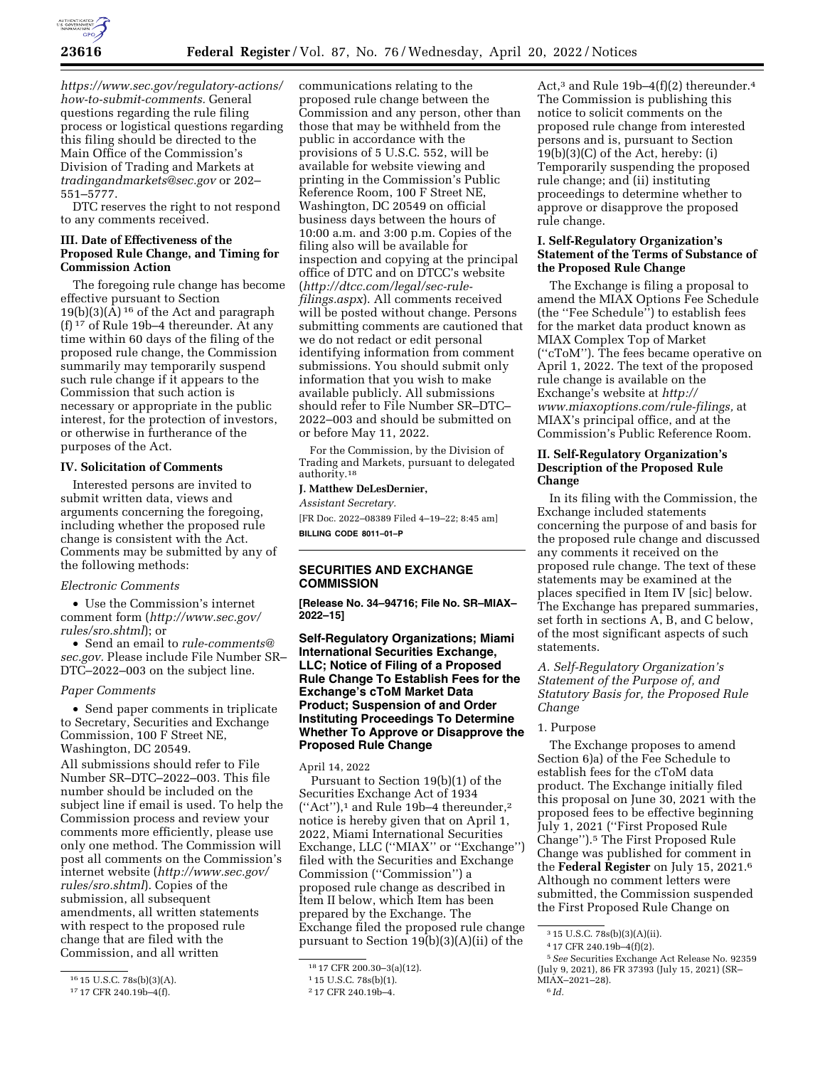

*[https://www.sec.gov/regulatory-actions/](https://www.sec.gov/regulatory-actions/how-to-submit-comments) [how-to-submit-comments.](https://www.sec.gov/regulatory-actions/how-to-submit-comments)* General questions regarding the rule filing process or logistical questions regarding this filing should be directed to the Main Office of the Commission's Division of Trading and Markets at *[tradingandmarkets@sec.gov](mailto:tradingandmarkets@sec.gov)* or 202– 551–5777.

DTC reserves the right to not respond to any comments received.

### **III. Date of Effectiveness of the Proposed Rule Change, and Timing for Commission Action**

The foregoing rule change has become effective pursuant to Section  $19(b)(3)(A)$ <sup>16</sup> of the Act and paragraph (f) 17 of Rule 19b–4 thereunder. At any time within 60 days of the filing of the proposed rule change, the Commission summarily may temporarily suspend such rule change if it appears to the Commission that such action is necessary or appropriate in the public interest, for the protection of investors, or otherwise in furtherance of the purposes of the Act.

# **IV. Solicitation of Comments**

Interested persons are invited to submit written data, views and arguments concerning the foregoing, including whether the proposed rule change is consistent with the Act. Comments may be submitted by any of the following methods:

### *Electronic Comments*

• Use the Commission's internet comment form (*[http://www.sec.gov/](http://www.sec.gov/rules/sro.shtml)  [rules/sro.shtml](http://www.sec.gov/rules/sro.shtml)*); or

• Send an email to *[rule-comments@](mailto:rule-comments@sec.gov) [sec.gov.](mailto:rule-comments@sec.gov)* Please include File Number SR– DTC–2022–003 on the subject line.

#### *Paper Comments*

• Send paper comments in triplicate to Secretary, Securities and Exchange Commission, 100 F Street NE, Washington, DC 20549.

All submissions should refer to File Number SR–DTC–2022–003. This file number should be included on the subject line if email is used. To help the Commission process and review your comments more efficiently, please use only one method. The Commission will post all comments on the Commission's internet website (*[http://www.sec.gov/](http://www.sec.gov/rules/sro.shtml)  [rules/sro.shtml](http://www.sec.gov/rules/sro.shtml)*). Copies of the submission, all subsequent amendments, all written statements with respect to the proposed rule change that are filed with the Commission, and all written

communications relating to the proposed rule change between the Commission and any person, other than those that may be withheld from the public in accordance with the provisions of 5 U.S.C. 552, will be available for website viewing and printing in the Commission's Public Reference Room, 100 F Street NE, Washington, DC 20549 on official business days between the hours of 10:00 a.m. and 3:00 p.m. Copies of the filing also will be available for inspection and copying at the principal office of DTC and on DTCC's website (*[http://dtcc.com/legal/sec-rule](http://dtcc.com/legal/sec-rule-filings.aspx)[filings.aspx](http://dtcc.com/legal/sec-rule-filings.aspx)*). All comments received will be posted without change. Persons submitting comments are cautioned that we do not redact or edit personal identifying information from comment submissions. You should submit only information that you wish to make available publicly. All submissions should refer to File Number SR–DTC– 2022–003 and should be submitted on or before May 11, 2022.

For the Commission, by the Division of Trading and Markets, pursuant to delegated authority.18

# **J. Matthew DeLesDernier,**

*Assistant Secretary.* 

[FR Doc. 2022–08389 Filed 4–19–22; 8:45 am] **BILLING CODE 8011–01–P** 

# **SECURITIES AND EXCHANGE COMMISSION**

**[Release No. 34–94716; File No. SR–MIAX– 2022–15]** 

# **Self-Regulatory Organizations; Miami International Securities Exchange, LLC; Notice of Filing of a Proposed Rule Change To Establish Fees for the Exchange's cToM Market Data Product; Suspension of and Order Instituting Proceedings To Determine Whether To Approve or Disapprove the Proposed Rule Change**

April 14, 2022

Pursuant to Section 19(b)(1) of the Securities Exchange Act of 1934 (''Act''),1 and Rule 19b–4 thereunder,2 notice is hereby given that on April 1, 2022, Miami International Securities Exchange, LLC (''MIAX'' or ''Exchange'') filed with the Securities and Exchange Commission (''Commission'') a proposed rule change as described in Item II below, which Item has been prepared by the Exchange. The Exchange filed the proposed rule change pursuant to Section 19(b)(3)(A)(ii) of the

Act,<sup>3</sup> and Rule 19b-4(f)(2) thereunder.<sup>4</sup> The Commission is publishing this notice to solicit comments on the proposed rule change from interested persons and is, pursuant to Section 19(b)(3)(C) of the Act, hereby: (i) Temporarily suspending the proposed rule change; and (ii) instituting proceedings to determine whether to approve or disapprove the proposed rule change.

## **I. Self-Regulatory Organization's Statement of the Terms of Substance of the Proposed Rule Change**

The Exchange is filing a proposal to amend the MIAX Options Fee Schedule (the ''Fee Schedule'') to establish fees for the market data product known as MIAX Complex Top of Market (''cToM''). The fees became operative on April 1, 2022. The text of the proposed rule change is available on the Exchange's website at *[http://](http://www.miaxoptions.com/rule-filings) [www.miaxoptions.com/rule-filings,](http://www.miaxoptions.com/rule-filings)* at MIAX's principal office, and at the Commission's Public Reference Room.

# **II. Self-Regulatory Organization's Description of the Proposed Rule Change**

In its filing with the Commission, the Exchange included statements concerning the purpose of and basis for the proposed rule change and discussed any comments it received on the proposed rule change. The text of these statements may be examined at the places specified in Item IV [sic] below. The Exchange has prepared summaries, set forth in sections A, B, and C below, of the most significant aspects of such statements.

*A. Self-Regulatory Organization's Statement of the Purpose of, and Statutory Basis for, the Proposed Rule Change* 

#### 1. Purpose

The Exchange proposes to amend Section 6)a) of the Fee Schedule to establish fees for the cToM data product. The Exchange initially filed this proposal on June 30, 2021 with the proposed fees to be effective beginning July 1, 2021 (''First Proposed Rule Change'').5 The First Proposed Rule Change was published for comment in the **Federal Register** on July 15, 2021.6 Although no comment letters were submitted, the Commission suspended the First Proposed Rule Change on

<sup>16</sup> 15 U.S.C. 78s(b)(3)(A).

<sup>17</sup> 17 CFR 240.19b–4(f).

<sup>18</sup> 17 CFR 200.30–3(a)(12).

<sup>1</sup> 15 U.S.C. 78s(b)(1).

<sup>2</sup> 17 CFR 240.19b–4.

<sup>3</sup> 15 U.S.C. 78s(b)(3)(A)(ii).

<sup>4</sup> 17 CFR 240.19b–4(f)(2).

<sup>5</sup>*See* Securities Exchange Act Release No. 92359 (July 9, 2021), 86 FR 37393 (July 15, 2021) (SR– MIAX–2021–28).

<sup>6</sup> *Id.*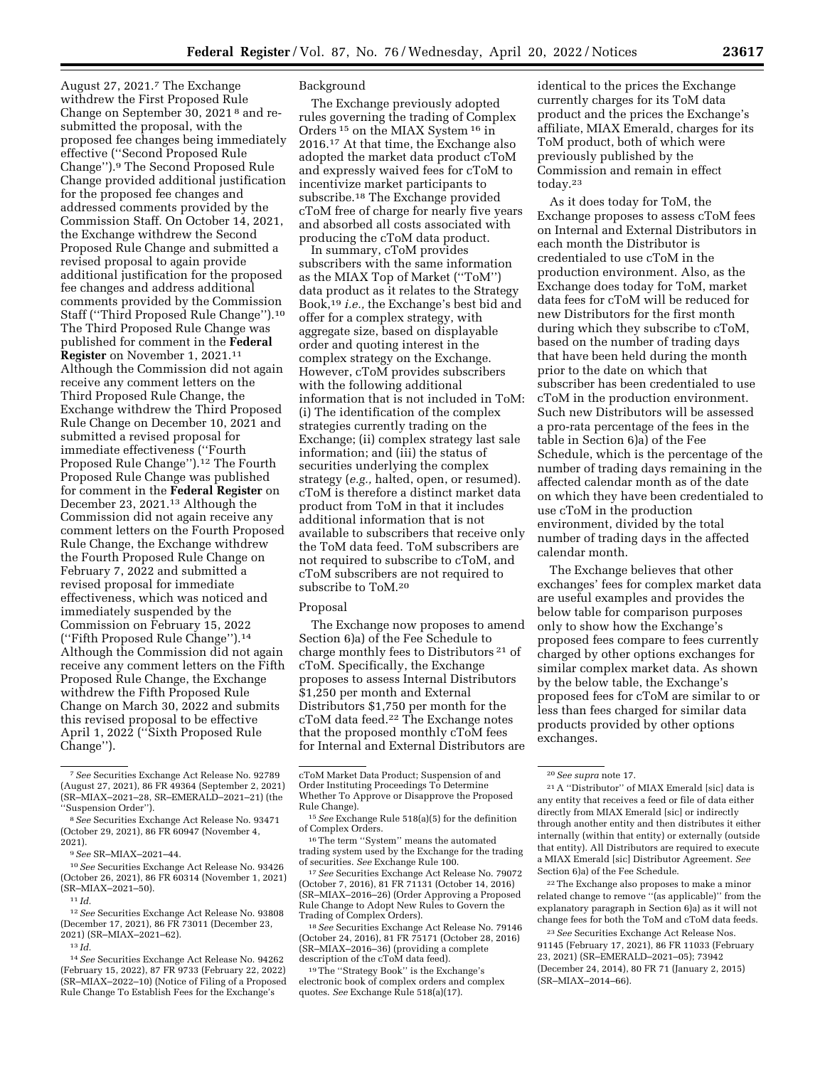August 27, 2021.7 The Exchange withdrew the First Proposed Rule Change on September 30, 2021 8 and resubmitted the proposal, with the proposed fee changes being immediately effective (''Second Proposed Rule Change'').9 The Second Proposed Rule Change provided additional justification for the proposed fee changes and addressed comments provided by the Commission Staff. On October 14, 2021, the Exchange withdrew the Second Proposed Rule Change and submitted a revised proposal to again provide additional justification for the proposed fee changes and address additional comments provided by the Commission Staff (''Third Proposed Rule Change'').10 The Third Proposed Rule Change was published for comment in the **Federal Register** on November 1, 2021.11 Although the Commission did not again receive any comment letters on the Third Proposed Rule Change, the Exchange withdrew the Third Proposed Rule Change on December 10, 2021 and submitted a revised proposal for immediate effectiveness (''Fourth Proposed Rule Change'').12 The Fourth Proposed Rule Change was published for comment in the **Federal Register** on December 23, 2021.13 Although the Commission did not again receive any comment letters on the Fourth Proposed Rule Change, the Exchange withdrew the Fourth Proposed Rule Change on February 7, 2022 and submitted a revised proposal for immediate effectiveness, which was noticed and immediately suspended by the Commission on February 15, 2022 (''Fifth Proposed Rule Change'').14 Although the Commission did not again receive any comment letters on the Fifth Proposed Rule Change, the Exchange withdrew the Fifth Proposed Rule Change on March 30, 2022 and submits this revised proposal to be effective April 1, 2022 (''Sixth Proposed Rule Change'').

14*See* Securities Exchange Act Release No. 94262 (February 15, 2022), 87 FR 9733 (February 22, 2022) (SR–MIAX–2022–10) (Notice of Filing of a Proposed Rule Change To Establish Fees for the Exchange's

# Background

The Exchange previously adopted rules governing the trading of Complex Orders 15 on the MIAX System 16 in 2016.17 At that time, the Exchange also adopted the market data product cToM and expressly waived fees for cToM to incentivize market participants to subscribe.18 The Exchange provided cToM free of charge for nearly five years and absorbed all costs associated with producing the cToM data product.

In summary, cToM provides subscribers with the same information as the MIAX Top of Market (''ToM'') data product as it relates to the Strategy Book,19 *i.e.,* the Exchange's best bid and offer for a complex strategy, with aggregate size, based on displayable order and quoting interest in the complex strategy on the Exchange. However, cToM provides subscribers with the following additional information that is not included in ToM: (i) The identification of the complex strategies currently trading on the Exchange; (ii) complex strategy last sale information; and (iii) the status of securities underlying the complex strategy (*e.g.,* halted, open, or resumed). cToM is therefore a distinct market data product from ToM in that it includes additional information that is not available to subscribers that receive only the ToM data feed. ToM subscribers are not required to subscribe to cToM, and cToM subscribers are not required to subscribe to ToM.20

### Proposal

The Exchange now proposes to amend Section 6)a) of the Fee Schedule to charge monthly fees to Distributors<sup>21</sup> of cToM. Specifically, the Exchange proposes to assess Internal Distributors \$1,250 per month and External Distributors \$1,750 per month for the cToM data feed.22 The Exchange notes that the proposed monthly cToM fees for Internal and External Distributors are

(October 7, 2016), 81 FR 71131 (October 14, 2016) (SR–MIAX–2016–26) (Order Approving a Proposed Rule Change to Adopt New Rules to Govern the

<sup>18</sup> See Securities Exchange Act Release No. 79146 (October 24, 2016), 81 FR 75171 (October 28, 2016) (SR–MIAX–2016–36) (providing a complete

<sup>19</sup>The "Strategy Book" is the Exchange's electronic book of complex orders and complex quotes. *See* Exchange Rule 518(a)(17).

identical to the prices the Exchange currently charges for its ToM data product and the prices the Exchange's affiliate, MIAX Emerald, charges for its ToM product, both of which were previously published by the Commission and remain in effect today.23

As it does today for ToM, the Exchange proposes to assess cToM fees on Internal and External Distributors in each month the Distributor is credentialed to use cToM in the production environment. Also, as the Exchange does today for ToM, market data fees for cToM will be reduced for new Distributors for the first month during which they subscribe to cToM, based on the number of trading days that have been held during the month prior to the date on which that subscriber has been credentialed to use cToM in the production environment. Such new Distributors will be assessed a pro-rata percentage of the fees in the table in Section 6)a) of the Fee Schedule, which is the percentage of the number of trading days remaining in the affected calendar month as of the date on which they have been credentialed to use cToM in the production environment, divided by the total number of trading days in the affected calendar month.

The Exchange believes that other exchanges' fees for complex market data are useful examples and provides the below table for comparison purposes only to show how the Exchange's proposed fees compare to fees currently charged by other options exchanges for similar complex market data. As shown by the below table, the Exchange's proposed fees for cToM are similar to or less than fees charged for similar data products provided by other options exchanges.

22The Exchange also proposes to make a minor related change to remove ''(as applicable)'' from the explanatory paragraph in Section 6)a) as it will not change fees for both the ToM and cToM data feeds.

23*See* Securities Exchange Act Release Nos. 91145 (February 17, 2021), 86 FR 11033 (February 23, 2021) (SR–EMERALD–2021–05); 73942 (December 24, 2014), 80 FR 71 (January 2, 2015) (SR–MIAX–2014–66).

<sup>7</sup>*See* Securities Exchange Act Release No. 92789 (August 27, 2021), 86 FR 49364 (September 2, 2021) (SR–MIAX–2021–28, SR–EMERALD–2021–21) (the ''Suspension Order'').

<sup>8</sup>*See* Securities Exchange Act Release No. 93471 (October 29, 2021), 86 FR 60947 (November 4, 2021).

<sup>9</sup>*See* SR–MIAX–2021–44.

<sup>10</sup>*See* Securities Exchange Act Release No. 93426 (October 26, 2021), 86 FR 60314 (November 1, 2021) (SR–MIAX–2021–50).

<sup>11</sup> *Id.* 

<sup>12</sup>*See* Securities Exchange Act Release No. 93808 (December 17, 2021), 86 FR 73011 (December 23, 2021) (SR–MIAX–2021–62).

<sup>13</sup> *Id.* 

cToM Market Data Product; Suspension of and Order Instituting Proceedings To Determine Whether To Approve or Disapprove the Proposed

<sup>&</sup>lt;sup>15</sup> See Exchange Rule 518(a)(5) for the definition of Complex Orders.

<sup>&</sup>lt;sup>16</sup>The term "System" means the automated trading system used by the Exchange for the trading of securities. *See* Exchange Rule 100. 17*See* Securities Exchange Act Release No. 79072

<sup>20</sup>*See supra* note 17.

<sup>21</sup>A ''Distributor'' of MIAX Emerald [sic] data is any entity that receives a feed or file of data either directly from MIAX Emerald [sic] or indirectly through another entity and then distributes it either internally (within that entity) or externally (outside that entity). All Distributors are required to execute a MIAX Emerald [sic] Distributor Agreement. *See*  Section 6)a) of the Fee Schedule.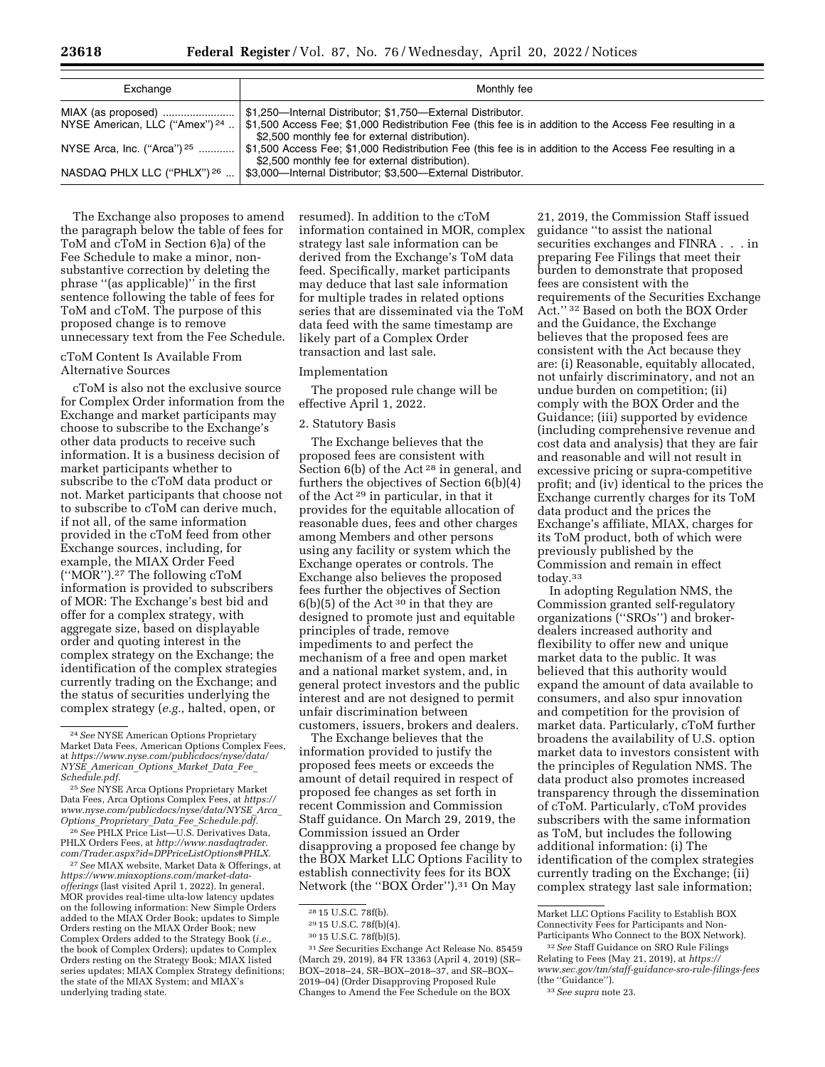| rederal Keg |  |
|-------------|--|
|             |  |
|             |  |

| Exchange                                  | Monthly fee                                                                                                                                                 |
|-------------------------------------------|-------------------------------------------------------------------------------------------------------------------------------------------------------------|
| MIAX (as proposed)                        | \$1,250-Internal Distributor; \$1,750-External Distributor.                                                                                                 |
| NYSE American, LLC ("Amex") <sup>24</sup> | \$1,500 Access Fee; \$1,000 Redistribution Fee (this fee is in addition to the Access Fee resulting in a<br>\$2,500 monthly fee for external distribution). |
| NYSE Arca, Inc. ("Arca") <sup>25</sup>    | \$1,500 Access Fee; \$1,000 Redistribution Fee (this fee is in addition to the Access Fee resulting in a<br>\$2,500 monthly fee for external distribution). |
| NASDAQ PHLX LLC ("PHLX") 26               | \$3,000-Internal Distributor; \$3,500-External Distributor.                                                                                                 |

The Exchange also proposes to amend the paragraph below the table of fees for ToM and cToM in Section 6)a) of the Fee Schedule to make a minor, nonsubstantive correction by deleting the phrase ''(as applicable)'' in the first sentence following the table of fees for ToM and cToM. The purpose of this proposed change is to remove unnecessary text from the Fee Schedule.

# cToM Content Is Available From Alternative Sources

cToM is also not the exclusive source for Complex Order information from the Exchange and market participants may choose to subscribe to the Exchange's other data products to receive such information. It is a business decision of market participants whether to subscribe to the cToM data product or not. Market participants that choose not to subscribe to cToM can derive much, if not all, of the same information provided in the cToM feed from other Exchange sources, including, for example, the MIAX Order Feed (''MOR'').27 The following cToM information is provided to subscribers of MOR: The Exchange's best bid and offer for a complex strategy, with aggregate size, based on displayable order and quoting interest in the complex strategy on the Exchange; the identification of the complex strategies currently trading on the Exchange; and the status of securities underlying the complex strategy (*e.g.,* halted, open, or

26*See* PHLX Price List—U.S. Derivatives Data, PHLX Orders Fees, at *[http://www.nasdaqtrader.](http://www.nasdaqtrader.com/Trader.aspx?id=DPPriceListOptions#PHLX) [com/Trader.aspx?id=DPPriceListOptions#PHLX.](http://www.nasdaqtrader.com/Trader.aspx?id=DPPriceListOptions#PHLX)* 

27*See* MIAX website, Market Data & Offerings, at *[https://www.miaxoptions.com/market-data](https://www.miaxoptions.com/market-data-offerings)[offerings](https://www.miaxoptions.com/market-data-offerings)* (last visited April 1, 2022). In general, MOR provides real-time ulta-low latency updates on the following information: New Simple Orders added to the MIAX Order Book; updates to Simple Orders resting on the MIAX Order Book; new Complex Orders added to the Strategy Book (*i.e.,*  the book of Complex Orders); updates to Complex Orders resting on the Strategy Book; MIAX listed series updates; MIAX Complex Strategy definitions; the state of the MIAX System; and MIAX's underlying trading state.

resumed). In addition to the cToM information contained in MOR, complex strategy last sale information can be derived from the Exchange's ToM data feed. Specifically, market participants may deduce that last sale information for multiple trades in related options series that are disseminated via the ToM data feed with the same timestamp are likely part of a Complex Order transaction and last sale.

# Implementation

The proposed rule change will be effective April 1, 2022.

### 2. Statutory Basis

The Exchange believes that the proposed fees are consistent with Section 6(b) of the Act<sup>28</sup> in general, and furthers the objectives of Section 6(b)(4) of the Act 29 in particular, in that it provides for the equitable allocation of reasonable dues, fees and other charges among Members and other persons using any facility or system which the Exchange operates or controls. The Exchange also believes the proposed fees further the objectives of Section  $6(b)(5)$  of the Act<sup>30</sup> in that they are designed to promote just and equitable principles of trade, remove impediments to and perfect the mechanism of a free and open market and a national market system, and, in general protect investors and the public interest and are not designed to permit unfair discrimination between customers, issuers, brokers and dealers.

The Exchange believes that the information provided to justify the proposed fees meets or exceeds the amount of detail required in respect of proposed fee changes as set forth in recent Commission and Commission Staff guidance. On March 29, 2019, the Commission issued an Order disapproving a proposed fee change by the BOX Market LLC Options Facility to establish connectivity fees for its BOX Network (the "BOX Order").<sup>31</sup> On May

31*See* Securities Exchange Act Release No. 85459 (March 29, 2019), 84 FR 13363 (April 4, 2019) (SR– BOX–2018–24, SR–BOX–2018–37, and SR–BOX– 2019–04) (Order Disapproving Proposed Rule Changes to Amend the Fee Schedule on the BOX

21, 2019, the Commission Staff issued guidance ''to assist the national securities exchanges and FINRA . . . in preparing Fee Filings that meet their burden to demonstrate that proposed fees are consistent with the requirements of the Securities Exchange Act.'' 32 Based on both the BOX Order and the Guidance, the Exchange believes that the proposed fees are consistent with the Act because they are: (i) Reasonable, equitably allocated, not unfairly discriminatory, and not an undue burden on competition; (ii) comply with the BOX Order and the Guidance; (iii) supported by evidence (including comprehensive revenue and cost data and analysis) that they are fair and reasonable and will not result in excessive pricing or supra-competitive profit; and (iv) identical to the prices the Exchange currently charges for its ToM data product and the prices the Exchange's affiliate, MIAX, charges for its ToM product, both of which were previously published by the Commission and remain in effect today.33

In adopting Regulation NMS, the Commission granted self-regulatory organizations (''SROs'') and brokerdealers increased authority and flexibility to offer new and unique market data to the public. It was believed that this authority would expand the amount of data available to consumers, and also spur innovation and competition for the provision of market data. Particularly, cToM further broadens the availability of U.S. option market data to investors consistent with the principles of Regulation NMS. The data product also promotes increased transparency through the dissemination of cToM. Particularly, cToM provides subscribers with the same information as ToM, but includes the following additional information: (i) The identification of the complex strategies currently trading on the Exchange; (ii) complex strategy last sale information;

<sup>24</sup>*See* NYSE American Options Proprietary Market Data Fees, American Options Complex Fees, at *[https://www.nyse.com/publicdocs/nyse/data/](https://www.nyse.com/publicdocs/nyse/data/NYSE_American_Options_Market_Data_Fee_Schedule.pdf) NYSE*\_*[American](https://www.nyse.com/publicdocs/nyse/data/NYSE_American_Options_Market_Data_Fee_Schedule.pdf)*\_*Options*\_*Market*\_*Data*\_*Fee*\_ *[Schedule.pdf.](https://www.nyse.com/publicdocs/nyse/data/NYSE_American_Options_Market_Data_Fee_Schedule.pdf)* 

<sup>25</sup>*See* NYSE Arca Options Proprietary Market Data Fees, Arca Options Complex Fees, at *[https://](https://www.nyse.com/publicdocs/nyse/data/NYSE_Arca_Options_Proprietary_Data_Fee_Schedule.pdf)  [www.nyse.com/publicdocs/nyse/data/NYSE](https://www.nyse.com/publicdocs/nyse/data/NYSE_Arca_Options_Proprietary_Data_Fee_Schedule.pdf)*\_*Arca*\_ *Options*\_*Proprietary*\_*Data*\_*Fee*\_*[Schedule.pdf.](https://www.nyse.com/publicdocs/nyse/data/NYSE_Arca_Options_Proprietary_Data_Fee_Schedule.pdf)* 

<sup>28</sup> 15 U.S.C. 78f(b).

<sup>29</sup> 15 U.S.C. 78f(b)(4).

<sup>30</sup> 15 U.S.C. 78f(b)(5).

Market LLC Options Facility to Establish BOX Connectivity Fees for Participants and Non-Participants Who Connect to the BOX Network).

<sup>32</sup>*See* Staff Guidance on SRO Rule Filings Relating to Fees (May 21, 2019), at *[https://](https://www.sec.gov/tm/staff-guidance-sro-rule-filings-fees) [www.sec.gov/tm/staff-guidance-sro-rule-filings-fees](https://www.sec.gov/tm/staff-guidance-sro-rule-filings-fees)*  (the ''Guidance''). 33*See supra* note 23.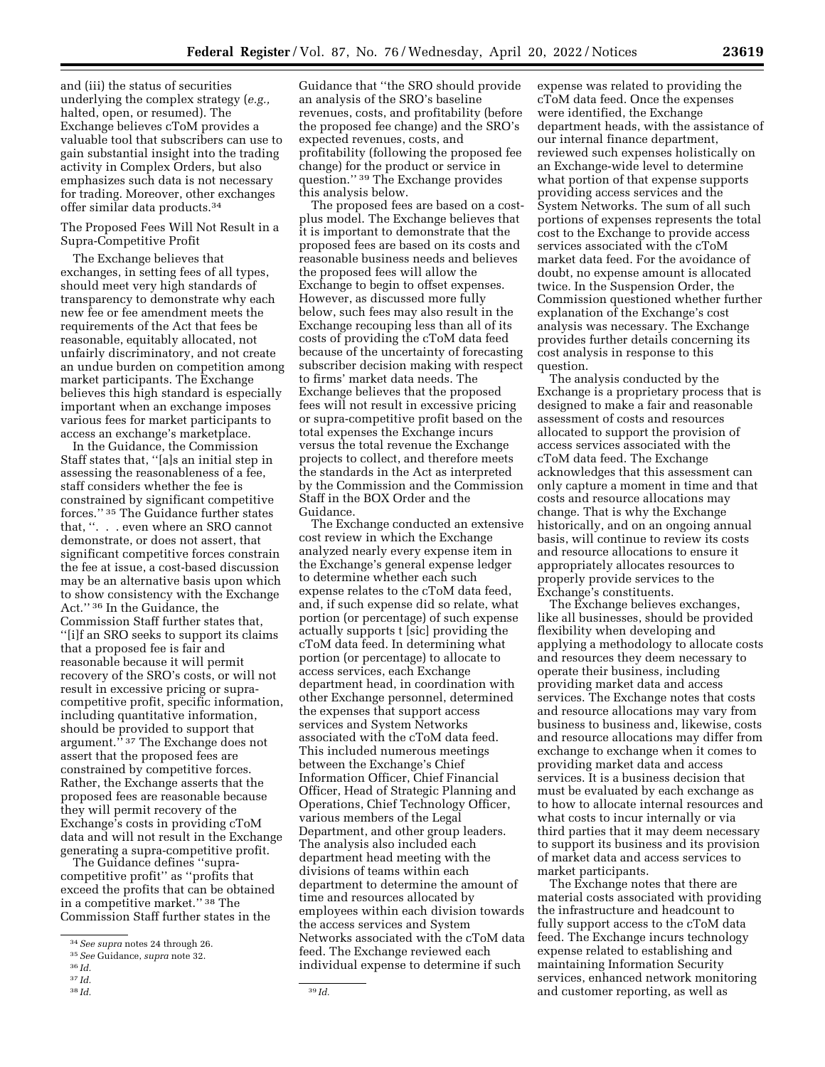and (iii) the status of securities underlying the complex strategy (*e.g.,*  halted, open, or resumed). The Exchange believes cToM provides a valuable tool that subscribers can use to gain substantial insight into the trading activity in Complex Orders, but also emphasizes such data is not necessary for trading. Moreover, other exchanges offer similar data products.34

# The Proposed Fees Will Not Result in a Supra-Competitive Profit

The Exchange believes that exchanges, in setting fees of all types, should meet very high standards of transparency to demonstrate why each new fee or fee amendment meets the requirements of the Act that fees be reasonable, equitably allocated, not unfairly discriminatory, and not create an undue burden on competition among market participants. The Exchange believes this high standard is especially important when an exchange imposes various fees for market participants to access an exchange's marketplace.

In the Guidance, the Commission Staff states that, ''[a]s an initial step in assessing the reasonableness of a fee, staff considers whether the fee is constrained by significant competitive forces.'' 35 The Guidance further states that, ''. . . even where an SRO cannot demonstrate, or does not assert, that significant competitive forces constrain the fee at issue, a cost-based discussion may be an alternative basis upon which to show consistency with the Exchange Act.'' 36 In the Guidance, the Commission Staff further states that, ''[i]f an SRO seeks to support its claims that a proposed fee is fair and reasonable because it will permit recovery of the SRO's costs, or will not result in excessive pricing or supracompetitive profit, specific information, including quantitative information, should be provided to support that argument.'' 37 The Exchange does not assert that the proposed fees are constrained by competitive forces. Rather, the Exchange asserts that the proposed fees are reasonable because they will permit recovery of the Exchange's costs in providing cToM data and will not result in the Exchange generating a supra-competitive profit.

The Guidance defines ''supracompetitive profit'' as ''profits that exceed the profits that can be obtained in a competitive market.'' 38 The Commission Staff further states in the

Guidance that ''the SRO should provide an analysis of the SRO's baseline revenues, costs, and profitability (before the proposed fee change) and the SRO's expected revenues, costs, and profitability (following the proposed fee change) for the product or service in question.'' 39 The Exchange provides this analysis below.

The proposed fees are based on a costplus model. The Exchange believes that it is important to demonstrate that the proposed fees are based on its costs and reasonable business needs and believes the proposed fees will allow the Exchange to begin to offset expenses. However, as discussed more fully below, such fees may also result in the Exchange recouping less than all of its costs of providing the cToM data feed because of the uncertainty of forecasting subscriber decision making with respect to firms' market data needs. The Exchange believes that the proposed fees will not result in excessive pricing or supra-competitive profit based on the total expenses the Exchange incurs versus the total revenue the Exchange projects to collect, and therefore meets the standards in the Act as interpreted by the Commission and the Commission Staff in the BOX Order and the Guidance.

The Exchange conducted an extensive cost review in which the Exchange analyzed nearly every expense item in the Exchange's general expense ledger to determine whether each such expense relates to the cToM data feed, and, if such expense did so relate, what portion (or percentage) of such expense actually supports t [sic] providing the cToM data feed. In determining what portion (or percentage) to allocate to access services, each Exchange department head, in coordination with other Exchange personnel, determined the expenses that support access services and System Networks associated with the cToM data feed. This included numerous meetings between the Exchange's Chief Information Officer, Chief Financial Officer, Head of Strategic Planning and Operations, Chief Technology Officer, various members of the Legal Department, and other group leaders. The analysis also included each department head meeting with the divisions of teams within each department to determine the amount of time and resources allocated by employees within each division towards the access services and System Networks associated with the cToM data feed. The Exchange reviewed each individual expense to determine if such

expense was related to providing the cToM data feed. Once the expenses were identified, the Exchange department heads, with the assistance of our internal finance department, reviewed such expenses holistically on an Exchange-wide level to determine what portion of that expense supports providing access services and the System Networks. The sum of all such portions of expenses represents the total cost to the Exchange to provide access services associated with the cToM market data feed. For the avoidance of doubt, no expense amount is allocated twice. In the Suspension Order, the Commission questioned whether further explanation of the Exchange's cost analysis was necessary. The Exchange provides further details concerning its cost analysis in response to this question.

The analysis conducted by the Exchange is a proprietary process that is designed to make a fair and reasonable assessment of costs and resources allocated to support the provision of access services associated with the cToM data feed. The Exchange acknowledges that this assessment can only capture a moment in time and that costs and resource allocations may change. That is why the Exchange historically, and on an ongoing annual basis, will continue to review its costs and resource allocations to ensure it appropriately allocates resources to properly provide services to the Exchange's constituents.

The Exchange believes exchanges, like all businesses, should be provided flexibility when developing and applying a methodology to allocate costs and resources they deem necessary to operate their business, including providing market data and access services. The Exchange notes that costs and resource allocations may vary from business to business and, likewise, costs and resource allocations may differ from exchange to exchange when it comes to providing market data and access services. It is a business decision that must be evaluated by each exchange as to how to allocate internal resources and what costs to incur internally or via third parties that it may deem necessary to support its business and its provision of market data and access services to market participants.

The Exchange notes that there are material costs associated with providing the infrastructure and headcount to fully support access to the cToM data feed. The Exchange incurs technology expense related to establishing and maintaining Information Security services, enhanced network monitoring and customer reporting, as well as

<sup>34</sup>*See supra* notes 24 through 26.

<sup>35</sup>*See* Guidance, *supra* note 32.

<sup>36</sup> *Id.* 

<sup>37</sup> *Id.* 

<sup>38</sup> *Id.* 39 *Id.*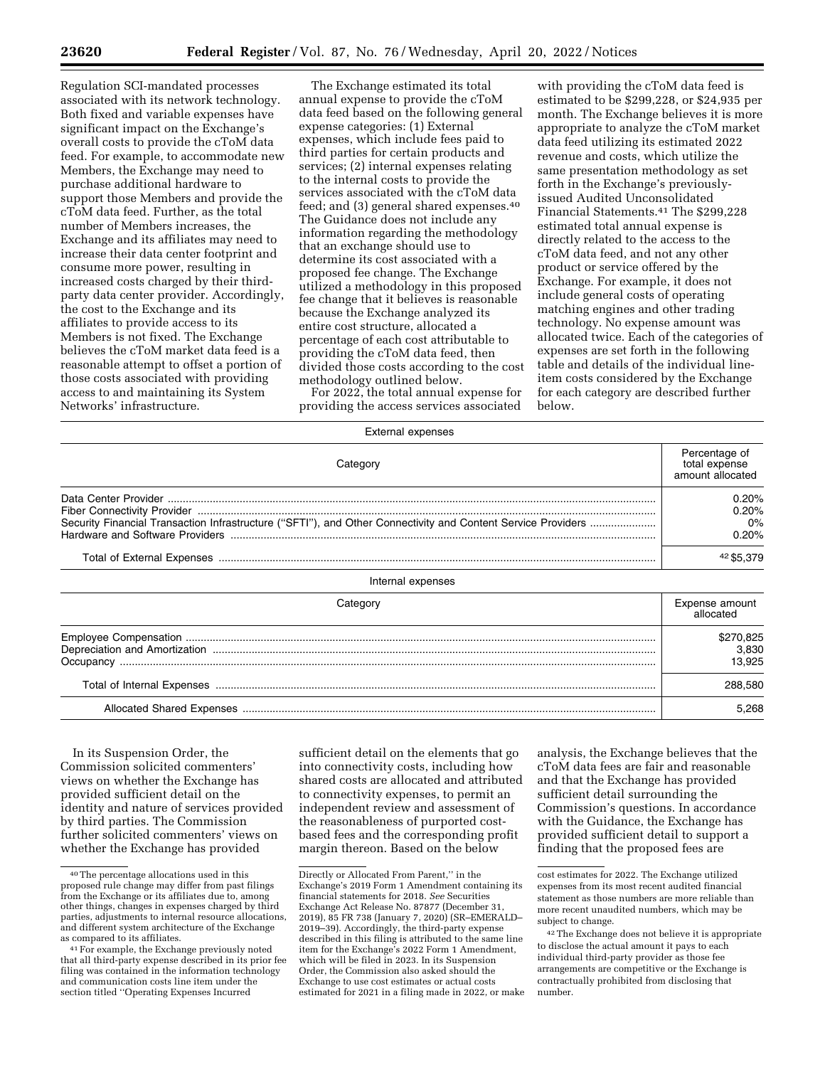Regulation SCI-mandated processes associated with its network technology. Both fixed and variable expenses have significant impact on the Exchange's overall costs to provide the cToM data feed. For example, to accommodate new Members, the Exchange may need to purchase additional hardware to support those Members and provide the cToM data feed. Further, as the total number of Members increases, the Exchange and its affiliates may need to increase their data center footprint and consume more power, resulting in increased costs charged by their thirdparty data center provider. Accordingly, the cost to the Exchange and its affiliates to provide access to its Members is not fixed. The Exchange believes the cToM market data feed is a reasonable attempt to offset a portion of those costs associated with providing access to and maintaining its System Networks' infrastructure.

The Exchange estimated its total annual expense to provide the cToM data feed based on the following general expense categories: (1) External expenses, which include fees paid to third parties for certain products and services; (2) internal expenses relating to the internal costs to provide the services associated with the cToM data feed; and (3) general shared expenses.40 The Guidance does not include any information regarding the methodology that an exchange should use to determine its cost associated with a proposed fee change. The Exchange utilized a methodology in this proposed fee change that it believes is reasonable because the Exchange analyzed its entire cost structure, allocated a percentage of each cost attributable to providing the cToM data feed, then divided those costs according to the cost methodology outlined below.

For 2022, the total annual expense for providing the access services associated

External expenses

with providing the cToM data feed is estimated to be \$299,228, or \$24,935 per month. The Exchange believes it is more appropriate to analyze the cToM market data feed utilizing its estimated 2022 revenue and costs, which utilize the same presentation methodology as set forth in the Exchange's previouslyissued Audited Unconsolidated Financial Statements.41 The \$299,228 estimated total annual expense is directly related to the access to the cToM data feed, and not any other product or service offered by the Exchange. For example, it does not include general costs of operating matching engines and other trading technology. No expense amount was allocated twice. Each of the categories of expenses are set forth in the following table and details of the individual lineitem costs considered by the Exchange for each category are described further below.

| Category                                                                                                     | Percentage of<br>total expense<br>amount allocated |
|--------------------------------------------------------------------------------------------------------------|----------------------------------------------------|
| Security Financial Transaction Infrastructure ("SFTI"), and Other Connectivity and Content Service Providers | 0.20%<br>0.20%<br>0%<br>0.20%                      |
|                                                                                                              | 42 \$5.379                                         |
| Internal expenses                                                                                            |                                                    |
| Category                                                                                                     | Expense amount<br>allocated                        |
|                                                                                                              | \$270,825<br>3,830<br>13,925                       |
|                                                                                                              | 288,580                                            |
|                                                                                                              | 5.268                                              |

In its Suspension Order, the Commission solicited commenters' views on whether the Exchange has provided sufficient detail on the identity and nature of services provided by third parties. The Commission further solicited commenters' views on whether the Exchange has provided

sufficient detail on the elements that go into connectivity costs, including how shared costs are allocated and attributed to connectivity expenses, to permit an independent review and assessment of the reasonableness of purported costbased fees and the corresponding profit margin thereon. Based on the below

analysis, the Exchange believes that the cToM data fees are fair and reasonable and that the Exchange has provided sufficient detail surrounding the Commission's questions. In accordance with the Guidance, the Exchange has provided sufficient detail to support a finding that the proposed fees are

<sup>40</sup>The percentage allocations used in this proposed rule change may differ from past filings from the Exchange or its affiliates due to, among other things, changes in expenses charged by third parties, adjustments to internal resource allocations, and different system architecture of the Exchange<br>as compared to its affiliates.

<sup>&</sup>lt;sup>41</sup> For example, the Exchange previously noted that all third-party expense described in its prior fee filing was contained in the information technology and communication costs line item under the section titled ''Operating Expenses Incurred

Directly or Allocated From Parent,'' in the Exchange's 2019 Form 1 Amendment containing its financial statements for 2018. *See* Securities Exchange Act Release No. 87877 (December 31, 2019), 85 FR 738 (January 7, 2020) (SR–EMERALD– 2019–39). Accordingly, the third-party expense described in this filing is attributed to the same line item for the Exchange's 2022 Form 1 Amendment, which will be filed in 2023. In its Suspension Order, the Commission also asked should the Exchange to use cost estimates or actual costs estimated for 2021 in a filing made in 2022, or make

cost estimates for 2022. The Exchange utilized expenses from its most recent audited financial statement as those numbers are more reliable than more recent unaudited numbers, which may be subject to change.

<sup>42</sup>The Exchange does not believe it is appropriate to disclose the actual amount it pays to each individual third-party provider as those fee arrangements are competitive or the Exchange is contractually prohibited from disclosing that number.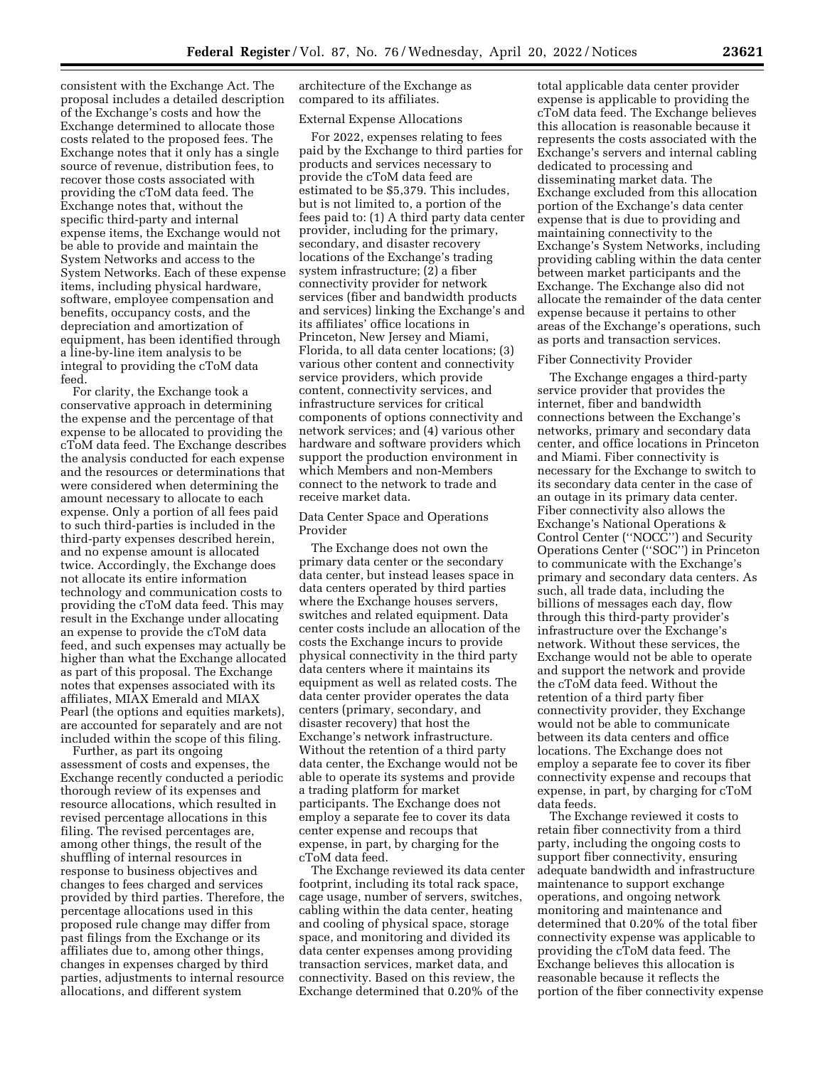consistent with the Exchange Act. The proposal includes a detailed description of the Exchange's costs and how the Exchange determined to allocate those costs related to the proposed fees. The Exchange notes that it only has a single source of revenue, distribution fees, to recover those costs associated with providing the cToM data feed. The Exchange notes that, without the specific third-party and internal expense items, the Exchange would not be able to provide and maintain the System Networks and access to the System Networks. Each of these expense items, including physical hardware, software, employee compensation and benefits, occupancy costs, and the depreciation and amortization of equipment, has been identified through a line-by-line item analysis to be integral to providing the cToM data feed.

For clarity, the Exchange took a conservative approach in determining the expense and the percentage of that expense to be allocated to providing the cToM data feed. The Exchange describes the analysis conducted for each expense and the resources or determinations that were considered when determining the amount necessary to allocate to each expense. Only a portion of all fees paid to such third-parties is included in the third-party expenses described herein, and no expense amount is allocated twice. Accordingly, the Exchange does not allocate its entire information technology and communication costs to providing the cToM data feed. This may result in the Exchange under allocating an expense to provide the cToM data feed, and such expenses may actually be higher than what the Exchange allocated as part of this proposal. The Exchange notes that expenses associated with its affiliates, MIAX Emerald and MIAX Pearl (the options and equities markets), are accounted for separately and are not included within the scope of this filing.

Further, as part its ongoing assessment of costs and expenses, the Exchange recently conducted a periodic thorough review of its expenses and resource allocations, which resulted in revised percentage allocations in this filing. The revised percentages are, among other things, the result of the shuffling of internal resources in response to business objectives and changes to fees charged and services provided by third parties. Therefore, the percentage allocations used in this proposed rule change may differ from past filings from the Exchange or its affiliates due to, among other things, changes in expenses charged by third parties, adjustments to internal resource allocations, and different system

architecture of the Exchange as compared to its affiliates.

### External Expense Allocations

For 2022, expenses relating to fees paid by the Exchange to third parties for products and services necessary to provide the cToM data feed are estimated to be \$5,379. This includes, but is not limited to, a portion of the fees paid to: (1) A third party data center provider, including for the primary, secondary, and disaster recovery locations of the Exchange's trading system infrastructure; (2) a fiber connectivity provider for network services (fiber and bandwidth products and services) linking the Exchange's and its affiliates' office locations in Princeton, New Jersey and Miami, Florida, to all data center locations; (3) various other content and connectivity service providers, which provide content, connectivity services, and infrastructure services for critical components of options connectivity and network services; and (4) various other hardware and software providers which support the production environment in which Members and non-Members connect to the network to trade and receive market data.

Data Center Space and Operations Provider

The Exchange does not own the primary data center or the secondary data center, but instead leases space in data centers operated by third parties where the Exchange houses servers, switches and related equipment. Data center costs include an allocation of the costs the Exchange incurs to provide physical connectivity in the third party data centers where it maintains its equipment as well as related costs. The data center provider operates the data centers (primary, secondary, and disaster recovery) that host the Exchange's network infrastructure. Without the retention of a third party data center, the Exchange would not be able to operate its systems and provide a trading platform for market participants. The Exchange does not employ a separate fee to cover its data center expense and recoups that expense, in part, by charging for the cToM data feed.

The Exchange reviewed its data center footprint, including its total rack space, cage usage, number of servers, switches, cabling within the data center, heating and cooling of physical space, storage space, and monitoring and divided its data center expenses among providing transaction services, market data, and connectivity. Based on this review, the Exchange determined that 0.20% of the

total applicable data center provider expense is applicable to providing the cToM data feed. The Exchange believes this allocation is reasonable because it represents the costs associated with the Exchange's servers and internal cabling dedicated to processing and disseminating market data. The Exchange excluded from this allocation portion of the Exchange's data center expense that is due to providing and maintaining connectivity to the Exchange's System Networks, including providing cabling within the data center between market participants and the Exchange. The Exchange also did not allocate the remainder of the data center expense because it pertains to other areas of the Exchange's operations, such as ports and transaction services.

### Fiber Connectivity Provider

The Exchange engages a third-party service provider that provides the internet, fiber and bandwidth connections between the Exchange's networks, primary and secondary data center, and office locations in Princeton and Miami. Fiber connectivity is necessary for the Exchange to switch to its secondary data center in the case of an outage in its primary data center. Fiber connectivity also allows the Exchange's National Operations & Control Center (''NOCC'') and Security Operations Center (''SOC'') in Princeton to communicate with the Exchange's primary and secondary data centers. As such, all trade data, including the billions of messages each day, flow through this third-party provider's infrastructure over the Exchange's network. Without these services, the Exchange would not be able to operate and support the network and provide the cToM data feed. Without the retention of a third party fiber connectivity provider, they Exchange would not be able to communicate between its data centers and office locations. The Exchange does not employ a separate fee to cover its fiber connectivity expense and recoups that expense, in part, by charging for cToM data feeds.

The Exchange reviewed it costs to retain fiber connectivity from a third party, including the ongoing costs to support fiber connectivity, ensuring adequate bandwidth and infrastructure maintenance to support exchange operations, and ongoing network monitoring and maintenance and determined that 0.20% of the total fiber connectivity expense was applicable to providing the cToM data feed. The Exchange believes this allocation is reasonable because it reflects the portion of the fiber connectivity expense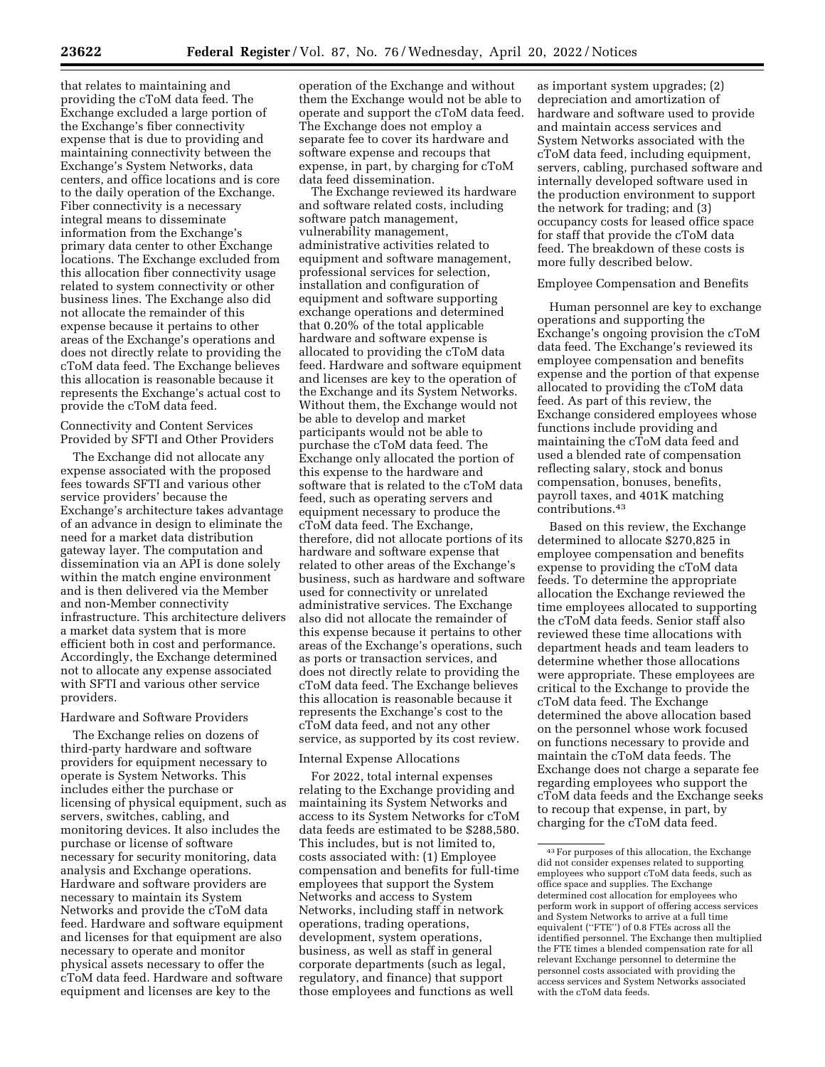that relates to maintaining and providing the cToM data feed. The Exchange excluded a large portion of the Exchange's fiber connectivity expense that is due to providing and maintaining connectivity between the Exchange's System Networks, data centers, and office locations and is core to the daily operation of the Exchange. Fiber connectivity is a necessary integral means to disseminate information from the Exchange's primary data center to other Exchange locations. The Exchange excluded from this allocation fiber connectivity usage related to system connectivity or other business lines. The Exchange also did not allocate the remainder of this expense because it pertains to other areas of the Exchange's operations and does not directly relate to providing the cToM data feed. The Exchange believes this allocation is reasonable because it represents the Exchange's actual cost to provide the cToM data feed.

Connectivity and Content Services Provided by SFTI and Other Providers

The Exchange did not allocate any expense associated with the proposed fees towards SFTI and various other service providers' because the Exchange's architecture takes advantage of an advance in design to eliminate the need for a market data distribution gateway layer. The computation and dissemination via an API is done solely within the match engine environment and is then delivered via the Member and non-Member connectivity infrastructure. This architecture delivers a market data system that is more efficient both in cost and performance. Accordingly, the Exchange determined not to allocate any expense associated with SFTI and various other service providers.

#### Hardware and Software Providers

The Exchange relies on dozens of third-party hardware and software providers for equipment necessary to operate is System Networks. This includes either the purchase or licensing of physical equipment, such as servers, switches, cabling, and monitoring devices. It also includes the purchase or license of software necessary for security monitoring, data analysis and Exchange operations. Hardware and software providers are necessary to maintain its System Networks and provide the cToM data feed. Hardware and software equipment and licenses for that equipment are also necessary to operate and monitor physical assets necessary to offer the cToM data feed. Hardware and software equipment and licenses are key to the

operation of the Exchange and without them the Exchange would not be able to operate and support the cToM data feed. The Exchange does not employ a separate fee to cover its hardware and software expense and recoups that expense, in part, by charging for cToM data feed dissemination.

The Exchange reviewed its hardware and software related costs, including software patch management, vulnerability management, administrative activities related to equipment and software management, professional services for selection, installation and configuration of equipment and software supporting exchange operations and determined that 0.20% of the total applicable hardware and software expense is allocated to providing the cToM data feed. Hardware and software equipment and licenses are key to the operation of the Exchange and its System Networks. Without them, the Exchange would not be able to develop and market participants would not be able to purchase the cToM data feed. The Exchange only allocated the portion of this expense to the hardware and software that is related to the cToM data feed, such as operating servers and equipment necessary to produce the cToM data feed. The Exchange, therefore, did not allocate portions of its hardware and software expense that related to other areas of the Exchange's business, such as hardware and software used for connectivity or unrelated administrative services. The Exchange also did not allocate the remainder of this expense because it pertains to other areas of the Exchange's operations, such as ports or transaction services, and does not directly relate to providing the cToM data feed. The Exchange believes this allocation is reasonable because it represents the Exchange's cost to the cToM data feed, and not any other service, as supported by its cost review.

#### Internal Expense Allocations

For 2022, total internal expenses relating to the Exchange providing and maintaining its System Networks and access to its System Networks for cToM data feeds are estimated to be \$288,580. This includes, but is not limited to, costs associated with: (1) Employee compensation and benefits for full-time employees that support the System Networks and access to System Networks, including staff in network operations, trading operations, development, system operations, business, as well as staff in general corporate departments (such as legal, regulatory, and finance) that support those employees and functions as well

as important system upgrades; (2) depreciation and amortization of hardware and software used to provide and maintain access services and System Networks associated with the cToM data feed, including equipment, servers, cabling, purchased software and internally developed software used in the production environment to support the network for trading; and (3) occupancy costs for leased office space for staff that provide the cToM data feed. The breakdown of these costs is more fully described below.

### Employee Compensation and Benefits

Human personnel are key to exchange operations and supporting the Exchange's ongoing provision the cToM data feed. The Exchange's reviewed its employee compensation and benefits expense and the portion of that expense allocated to providing the cToM data feed. As part of this review, the Exchange considered employees whose functions include providing and maintaining the cToM data feed and used a blended rate of compensation reflecting salary, stock and bonus compensation, bonuses, benefits, payroll taxes, and 401K matching contributions.43

Based on this review, the Exchange determined to allocate \$270,825 in employee compensation and benefits expense to providing the cToM data feeds. To determine the appropriate allocation the Exchange reviewed the time employees allocated to supporting the cToM data feeds. Senior staff also reviewed these time allocations with department heads and team leaders to determine whether those allocations were appropriate. These employees are critical to the Exchange to provide the cToM data feed. The Exchange determined the above allocation based on the personnel whose work focused on functions necessary to provide and maintain the cToM data feeds. The Exchange does not charge a separate fee regarding employees who support the cToM data feeds and the Exchange seeks to recoup that expense, in part, by charging for the cToM data feed.

<sup>43</sup>For purposes of this allocation, the Exchange did not consider expenses related to supporting employees who support cToM data feeds, such as office space and supplies. The Exchange determined cost allocation for employees who perform work in support of offering access services and System Networks to arrive at a full time equivalent (''FTE'') of 0.8 FTEs across all the identified personnel. The Exchange then multiplied the FTE times a blended compensation rate for all relevant Exchange personnel to determine the personnel costs associated with providing the access services and System Networks associated with the cToM data feeds.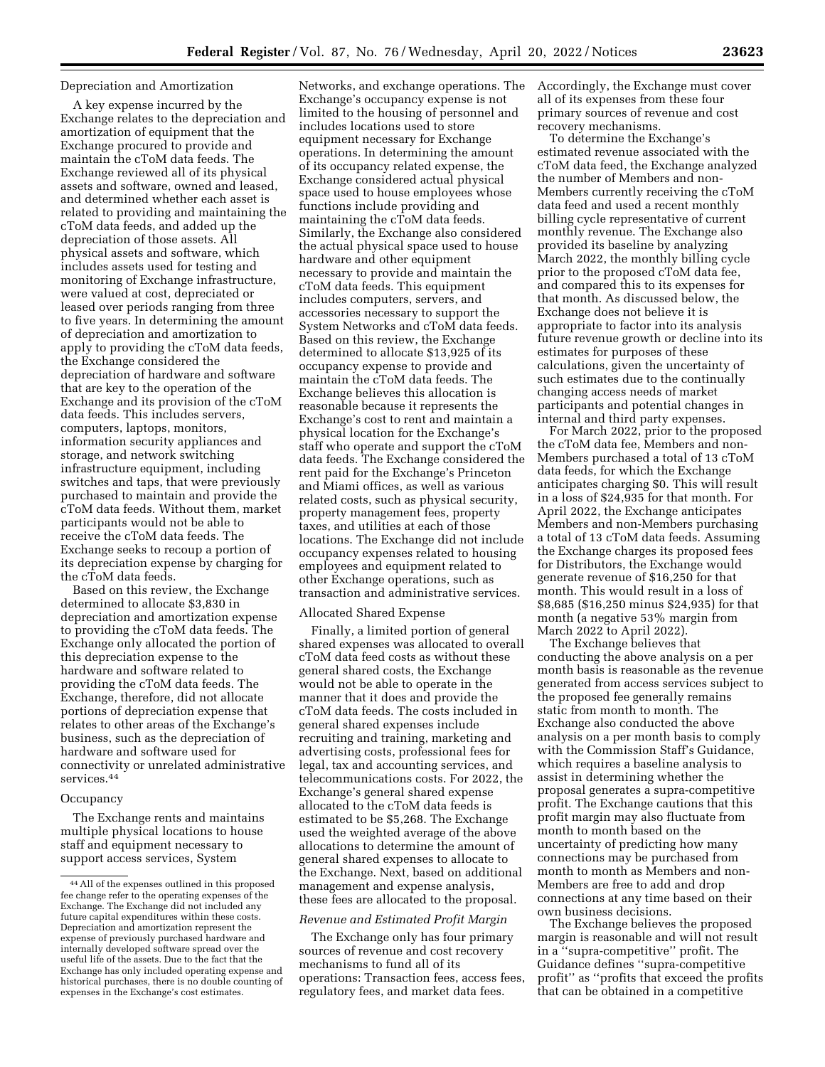### Depreciation and Amortization

A key expense incurred by the Exchange relates to the depreciation and amortization of equipment that the Exchange procured to provide and maintain the cToM data feeds. The Exchange reviewed all of its physical assets and software, owned and leased, and determined whether each asset is related to providing and maintaining the cToM data feeds, and added up the depreciation of those assets. All physical assets and software, which includes assets used for testing and monitoring of Exchange infrastructure, were valued at cost, depreciated or leased over periods ranging from three to five years. In determining the amount of depreciation and amortization to apply to providing the cToM data feeds, the Exchange considered the depreciation of hardware and software that are key to the operation of the Exchange and its provision of the cToM data feeds. This includes servers, computers, laptops, monitors, information security appliances and storage, and network switching infrastructure equipment, including switches and taps, that were previously purchased to maintain and provide the cToM data feeds. Without them, market participants would not be able to receive the cToM data feeds. The Exchange seeks to recoup a portion of its depreciation expense by charging for the cToM data feeds.

Based on this review, the Exchange determined to allocate \$3,830 in depreciation and amortization expense to providing the cToM data feeds. The Exchange only allocated the portion of this depreciation expense to the hardware and software related to providing the cToM data feeds. The Exchange, therefore, did not allocate portions of depreciation expense that relates to other areas of the Exchange's business, such as the depreciation of hardware and software used for connectivity or unrelated administrative services.44

#### **Occupancy**

The Exchange rents and maintains multiple physical locations to house staff and equipment necessary to support access services, System

Networks, and exchange operations. The Exchange's occupancy expense is not limited to the housing of personnel and includes locations used to store equipment necessary for Exchange operations. In determining the amount of its occupancy related expense, the Exchange considered actual physical space used to house employees whose functions include providing and maintaining the cToM data feeds. Similarly, the Exchange also considered the actual physical space used to house hardware and other equipment necessary to provide and maintain the cToM data feeds. This equipment includes computers, servers, and accessories necessary to support the System Networks and cToM data feeds. Based on this review, the Exchange determined to allocate \$13,925 of its occupancy expense to provide and maintain the cToM data feeds. The Exchange believes this allocation is reasonable because it represents the Exchange's cost to rent and maintain a physical location for the Exchange's staff who operate and support the cToM data feeds. The Exchange considered the rent paid for the Exchange's Princeton and Miami offices, as well as various related costs, such as physical security, property management fees, property taxes, and utilities at each of those locations. The Exchange did not include occupancy expenses related to housing employees and equipment related to other Exchange operations, such as transaction and administrative services.

#### Allocated Shared Expense

Finally, a limited portion of general shared expenses was allocated to overall cToM data feed costs as without these general shared costs, the Exchange would not be able to operate in the manner that it does and provide the cToM data feeds. The costs included in general shared expenses include recruiting and training, marketing and advertising costs, professional fees for legal, tax and accounting services, and telecommunications costs. For 2022, the Exchange's general shared expense allocated to the cToM data feeds is estimated to be \$5,268. The Exchange used the weighted average of the above allocations to determine the amount of general shared expenses to allocate to the Exchange. Next, based on additional management and expense analysis, these fees are allocated to the proposal.

### *Revenue and Estimated Profit Margin*

The Exchange only has four primary sources of revenue and cost recovery mechanisms to fund all of its operations: Transaction fees, access fees, regulatory fees, and market data fees.

Accordingly, the Exchange must cover all of its expenses from these four primary sources of revenue and cost recovery mechanisms.

To determine the Exchange's estimated revenue associated with the cToM data feed, the Exchange analyzed the number of Members and non-Members currently receiving the cToM data feed and used a recent monthly billing cycle representative of current monthly revenue. The Exchange also provided its baseline by analyzing March 2022, the monthly billing cycle prior to the proposed cToM data fee, and compared this to its expenses for that month. As discussed below, the Exchange does not believe it is appropriate to factor into its analysis future revenue growth or decline into its estimates for purposes of these calculations, given the uncertainty of such estimates due to the continually changing access needs of market participants and potential changes in internal and third party expenses.

For March 2022, prior to the proposed the cToM data fee, Members and non-Members purchased a total of 13 cToM data feeds, for which the Exchange anticipates charging \$0. This will result in a loss of \$24,935 for that month. For April 2022, the Exchange anticipates Members and non-Members purchasing a total of 13 cToM data feeds. Assuming the Exchange charges its proposed fees for Distributors, the Exchange would generate revenue of \$16,250 for that month. This would result in a loss of \$8,685 (\$16,250 minus \$24,935) for that month (a negative 53% margin from March 2022 to April 2022).

The Exchange believes that conducting the above analysis on a per month basis is reasonable as the revenue generated from access services subject to the proposed fee generally remains static from month to month. The Exchange also conducted the above analysis on a per month basis to comply with the Commission Staff's Guidance, which requires a baseline analysis to assist in determining whether the proposal generates a supra-competitive profit. The Exchange cautions that this profit margin may also fluctuate from month to month based on the uncertainty of predicting how many connections may be purchased from month to month as Members and non-Members are free to add and drop connections at any time based on their own business decisions.

The Exchange believes the proposed margin is reasonable and will not result in a ''supra-competitive'' profit. The Guidance defines ''supra-competitive profit'' as ''profits that exceed the profits that can be obtained in a competitive

<sup>44</sup>All of the expenses outlined in this proposed fee change refer to the operating expenses of the Exchange. The Exchange did not included any future capital expenditures within these costs. Depreciation and amortization represent the expense of previously purchased hardware and internally developed software spread over the useful life of the assets. Due to the fact that the Exchange has only included operating expense and historical purchases, there is no double counting of expenses in the Exchange's cost estimates.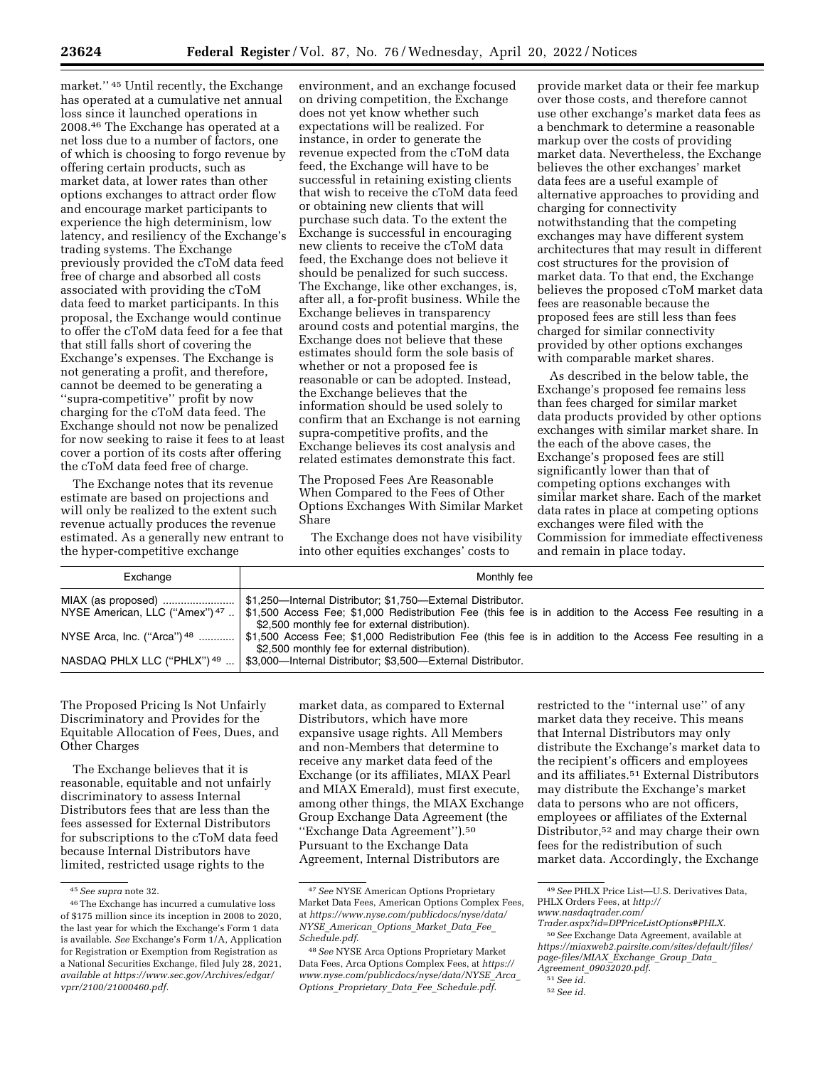market.'' 45 Until recently, the Exchange has operated at a cumulative net annual loss since it launched operations in 2008.46 The Exchange has operated at a net loss due to a number of factors, one of which is choosing to forgo revenue by offering certain products, such as market data, at lower rates than other options exchanges to attract order flow and encourage market participants to experience the high determinism, low latency, and resiliency of the Exchange's trading systems. The Exchange previously provided the cToM data feed free of charge and absorbed all costs associated with providing the cToM data feed to market participants. In this proposal, the Exchange would continue to offer the cToM data feed for a fee that that still falls short of covering the Exchange's expenses. The Exchange is not generating a profit, and therefore, cannot be deemed to be generating a ''supra-competitive'' profit by now charging for the cToM data feed. The Exchange should not now be penalized for now seeking to raise it fees to at least cover a portion of its costs after offering the cToM data feed free of charge.

The Exchange notes that its revenue estimate are based on projections and will only be realized to the extent such revenue actually produces the revenue estimated. As a generally new entrant to the hyper-competitive exchange

environment, and an exchange focused on driving competition, the Exchange does not yet know whether such expectations will be realized. For instance, in order to generate the revenue expected from the cToM data feed, the Exchange will have to be successful in retaining existing clients that wish to receive the cToM data feed or obtaining new clients that will purchase such data. To the extent the Exchange is successful in encouraging new clients to receive the cToM data feed, the Exchange does not believe it should be penalized for such success. The Exchange, like other exchanges, is, after all, a for-profit business. While the Exchange believes in transparency around costs and potential margins, the Exchange does not believe that these estimates should form the sole basis of whether or not a proposed fee is reasonable or can be adopted. Instead, the Exchange believes that the information should be used solely to confirm that an Exchange is not earning supra-competitive profits, and the Exchange believes its cost analysis and related estimates demonstrate this fact.

The Proposed Fees Are Reasonable When Compared to the Fees of Other Options Exchanges With Similar Market Share

The Exchange does not have visibility into other equities exchanges' costs to

provide market data or their fee markup over those costs, and therefore cannot use other exchange's market data fees as a benchmark to determine a reasonable markup over the costs of providing market data. Nevertheless, the Exchange believes the other exchanges' market data fees are a useful example of alternative approaches to providing and charging for connectivity notwithstanding that the competing exchanges may have different system architectures that may result in different cost structures for the provision of market data. To that end, the Exchange believes the proposed cToM market data fees are reasonable because the proposed fees are still less than fees charged for similar connectivity provided by other options exchanges with comparable market shares.

As described in the below table, the Exchange's proposed fee remains less than fees charged for similar market data products provided by other options exchanges with similar market share. In the each of the above cases, the Exchange's proposed fees are still significantly lower than that of competing options exchanges with similar market share. Each of the market data rates in place at competing options exchanges were filed with the Commission for immediate effectiveness and remain in place today.

| Exchange                                             | Monthly fee                                                                                                                                                                                                                |
|------------------------------------------------------|----------------------------------------------------------------------------------------------------------------------------------------------------------------------------------------------------------------------------|
| MIAX (as proposed)<br>NYSE American, LLC ("Amex") 47 | \$1,250-Internal Distributor; \$1,750-External Distributor.<br>\$1,500 Access Fee; \$1,000 Redistribution Fee (this fee is in addition to the Access Fee resulting in a<br>\$2,500 monthly fee for external distribution). |
| NYSE Arca, Inc. ("Arca") $48$                        | \$1,500 Access Fee; \$1,000 Redistribution Fee (this fee is in addition to the Access Fee resulting in a<br>\$2,500 monthly fee for external distribution).                                                                |
| NASDAQ PHLX LLC ("PHLX") 49                          | \$3,000-Internal Distributor; \$3,500-External Distributor.                                                                                                                                                                |

The Proposed Pricing Is Not Unfairly Discriminatory and Provides for the Equitable Allocation of Fees, Dues, and Other Charges

The Exchange believes that it is reasonable, equitable and not unfairly discriminatory to assess Internal Distributors fees that are less than the fees assessed for External Distributors for subscriptions to the cToM data feed because Internal Distributors have limited, restricted usage rights to the

market data, as compared to External Distributors, which have more expansive usage rights. All Members and non-Members that determine to receive any market data feed of the Exchange (or its affiliates, MIAX Pearl and MIAX Emerald), must first execute, among other things, the MIAX Exchange Group Exchange Data Agreement (the ''Exchange Data Agreement'').50 Pursuant to the Exchange Data Agreement, Internal Distributors are

restricted to the ''internal use'' of any market data they receive. This means that Internal Distributors may only distribute the Exchange's market data to the recipient's officers and employees and its affiliates.51 External Distributors may distribute the Exchange's market data to persons who are not officers, employees or affiliates of the External Distributor,<sup>52</sup> and may charge their own fees for the redistribution of such market data. Accordingly, the Exchange

<sup>45</sup>*See supra* note 32.

<sup>46</sup>The Exchange has incurred a cumulative loss of \$175 million since its inception in 2008 to 2020, the last year for which the Exchange's Form 1 data is available. *See* Exchange's Form 1/A, Application for Registration or Exemption from Registration as a National Securities Exchange, filed July 28, 2021, *available at [https://www.sec.gov/Archives/edgar/](https://www.sec.gov/Archives/edgar/vprr/2100/21000460.pdf) [vprr/2100/21000460.pdf.](https://www.sec.gov/Archives/edgar/vprr/2100/21000460.pdf)* 

<sup>47</sup>*See* NYSE American Options Proprietary Market Data Fees, American Options Complex Fees, at *[https://www.nyse.com/publicdocs/nyse/data/](https://www.nyse.com/publicdocs/nyse/data/NYSE_American_Options_Market_Data_Fee_Schedule.pdf) NYSE*\_*[American](https://www.nyse.com/publicdocs/nyse/data/NYSE_American_Options_Market_Data_Fee_Schedule.pdf)*\_*Options*\_*Market*\_*Data*\_*Fee*\_ *[Schedule.pdf](https://www.nyse.com/publicdocs/nyse/data/NYSE_American_Options_Market_Data_Fee_Schedule.pdf)*.

<sup>48</sup>*See* NYSE Arca Options Proprietary Market Data Fees, Arca Options Complex Fees, at *[https://](https://www.nyse.com/publicdocs/nyse/data/NYSE_Arca_Options_Proprietary_Data_Fee_Schedule.pdf)  [www.nyse.com/publicdocs/nyse/data/NYSE](https://www.nyse.com/publicdocs/nyse/data/NYSE_Arca_Options_Proprietary_Data_Fee_Schedule.pdf)*\_*Arca*\_ *Options*\_*Proprietary*\_*Data*\_*Fee*\_*[Schedule.pdf](https://www.nyse.com/publicdocs/nyse/data/NYSE_Arca_Options_Proprietary_Data_Fee_Schedule.pdf)*.

<sup>49</sup>*See* PHLX Price List—U.S. Derivatives Data, PHLX Orders Fees, at *[http://](http://www.nasdaqtrader.com/Trader.aspx?id=DPPriceListOptions#PHLX)*

*[www.nasdaqtrader.com/](http://www.nasdaqtrader.com/Trader.aspx?id=DPPriceListOptions#PHLX)* 

*[Trader.aspx?id=DPPriceListOptions#PHLX](http://www.nasdaqtrader.com/Trader.aspx?id=DPPriceListOptions#PHLX)*. 50*See* Exchange Data Agreement, available at *[https://miaxweb2.pairsite.com/sites/default/files/](https://miaxweb2.pairsite.com/sites/default/files/page-files/MIAX_Exchange_Group_Data_Agreement_09032020.pdf)  [page-files/MIAX](https://miaxweb2.pairsite.com/sites/default/files/page-files/MIAX_Exchange_Group_Data_Agreement_09032020.pdf)*\_*Exchange*\_*Group*\_*Data*\_ *Agreement*\_*[09032020.pdf](https://miaxweb2.pairsite.com/sites/default/files/page-files/MIAX_Exchange_Group_Data_Agreement_09032020.pdf)*.

<sup>51</sup>*See id.* 

<sup>52</sup>*See id.*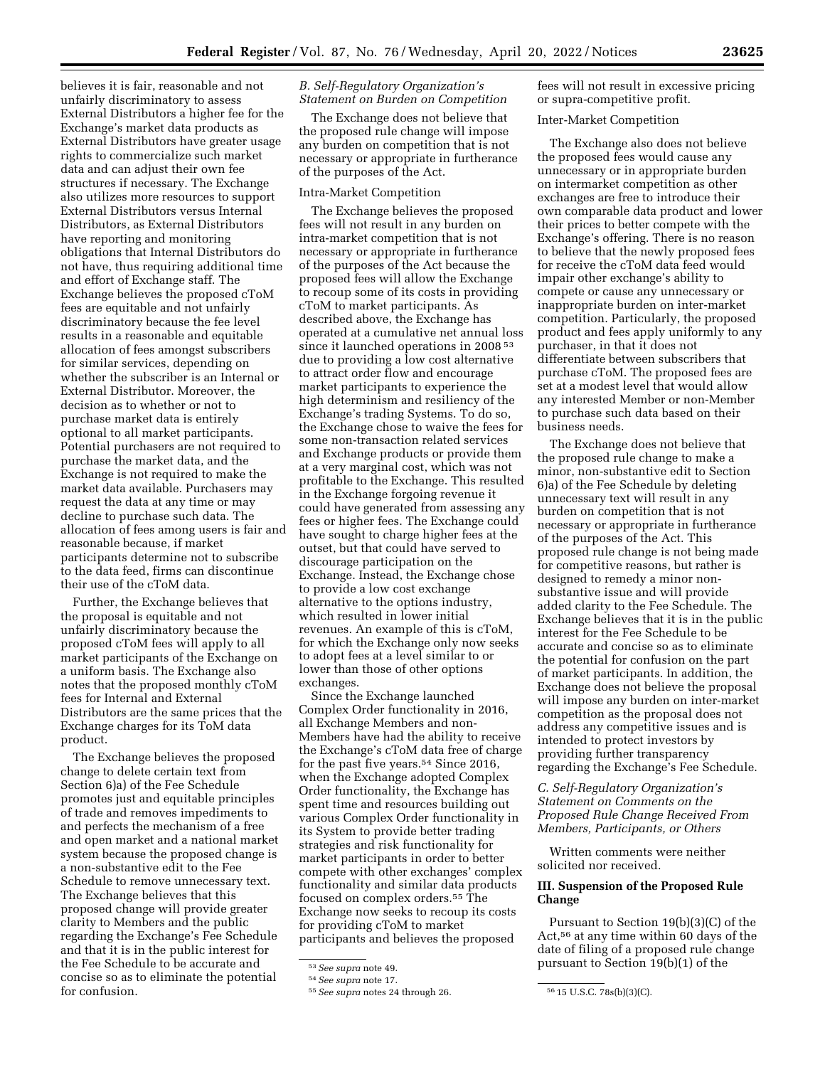believes it is fair, reasonable and not unfairly discriminatory to assess External Distributors a higher fee for the Exchange's market data products as External Distributors have greater usage rights to commercialize such market data and can adjust their own fee structures if necessary. The Exchange also utilizes more resources to support External Distributors versus Internal Distributors, as External Distributors have reporting and monitoring obligations that Internal Distributors do not have, thus requiring additional time and effort of Exchange staff. The Exchange believes the proposed cToM fees are equitable and not unfairly discriminatory because the fee level results in a reasonable and equitable allocation of fees amongst subscribers for similar services, depending on whether the subscriber is an Internal or External Distributor. Moreover, the decision as to whether or not to purchase market data is entirely optional to all market participants. Potential purchasers are not required to purchase the market data, and the Exchange is not required to make the market data available. Purchasers may request the data at any time or may decline to purchase such data. The allocation of fees among users is fair and reasonable because, if market participants determine not to subscribe to the data feed, firms can discontinue their use of the cToM data.

Further, the Exchange believes that the proposal is equitable and not unfairly discriminatory because the proposed cToM fees will apply to all market participants of the Exchange on a uniform basis. The Exchange also notes that the proposed monthly cToM fees for Internal and External Distributors are the same prices that the Exchange charges for its ToM data product.

The Exchange believes the proposed change to delete certain text from Section 6)a) of the Fee Schedule promotes just and equitable principles of trade and removes impediments to and perfects the mechanism of a free and open market and a national market system because the proposed change is a non-substantive edit to the Fee Schedule to remove unnecessary text. The Exchange believes that this proposed change will provide greater clarity to Members and the public regarding the Exchange's Fee Schedule and that it is in the public interest for the Fee Schedule to be accurate and concise so as to eliminate the potential for confusion.

# *B. Self-Regulatory Organization's Statement on Burden on Competition*

The Exchange does not believe that the proposed rule change will impose any burden on competition that is not necessary or appropriate in furtherance of the purposes of the Act.

# Intra-Market Competition

The Exchange believes the proposed fees will not result in any burden on intra-market competition that is not necessary or appropriate in furtherance of the purposes of the Act because the proposed fees will allow the Exchange to recoup some of its costs in providing cToM to market participants. As described above, the Exchange has operated at a cumulative net annual loss since it launched operations in 2008 53 due to providing a low cost alternative to attract order flow and encourage market participants to experience the high determinism and resiliency of the Exchange's trading Systems. To do so, the Exchange chose to waive the fees for some non-transaction related services and Exchange products or provide them at a very marginal cost, which was not profitable to the Exchange. This resulted in the Exchange forgoing revenue it could have generated from assessing any fees or higher fees. The Exchange could have sought to charge higher fees at the outset, but that could have served to discourage participation on the Exchange. Instead, the Exchange chose to provide a low cost exchange alternative to the options industry, which resulted in lower initial revenues. An example of this is cToM, for which the Exchange only now seeks to adopt fees at a level similar to or lower than those of other options exchanges.

Since the Exchange launched Complex Order functionality in 2016, all Exchange Members and non-Members have had the ability to receive the Exchange's cToM data free of charge for the past five years.54 Since 2016, when the Exchange adopted Complex Order functionality, the Exchange has spent time and resources building out various Complex Order functionality in its System to provide better trading strategies and risk functionality for market participants in order to better compete with other exchanges' complex functionality and similar data products focused on complex orders.55 The Exchange now seeks to recoup its costs for providing cToM to market participants and believes the proposed

fees will not result in excessive pricing or supra-competitive profit.

## Inter-Market Competition

The Exchange also does not believe the proposed fees would cause any unnecessary or in appropriate burden on intermarket competition as other exchanges are free to introduce their own comparable data product and lower their prices to better compete with the Exchange's offering. There is no reason to believe that the newly proposed fees for receive the cToM data feed would impair other exchange's ability to compete or cause any unnecessary or inappropriate burden on inter-market competition. Particularly, the proposed product and fees apply uniformly to any purchaser, in that it does not differentiate between subscribers that purchase cToM. The proposed fees are set at a modest level that would allow any interested Member or non-Member to purchase such data based on their business needs.

The Exchange does not believe that the proposed rule change to make a minor, non-substantive edit to Section 6)a) of the Fee Schedule by deleting unnecessary text will result in any burden on competition that is not necessary or appropriate in furtherance of the purposes of the Act. This proposed rule change is not being made for competitive reasons, but rather is designed to remedy a minor nonsubstantive issue and will provide added clarity to the Fee Schedule. The Exchange believes that it is in the public interest for the Fee Schedule to be accurate and concise so as to eliminate the potential for confusion on the part of market participants. In addition, the Exchange does not believe the proposal will impose any burden on inter-market competition as the proposal does not address any competitive issues and is intended to protect investors by providing further transparency regarding the Exchange's Fee Schedule.

*C. Self-Regulatory Organization's Statement on Comments on the Proposed Rule Change Received From Members, Participants, or Others* 

Written comments were neither solicited nor received.

# **III. Suspension of the Proposed Rule Change**

Pursuant to Section 19(b)(3)(C) of the Act,56 at any time within 60 days of the date of filing of a proposed rule change pursuant to Section 19(b)(1) of the

<sup>53</sup>*See supra* note 49.

<sup>54</sup>*See supra* note 17.

<sup>55</sup>*See supra* notes 24 through 26. 56 15 U.S.C. 78s(b)(3)(C).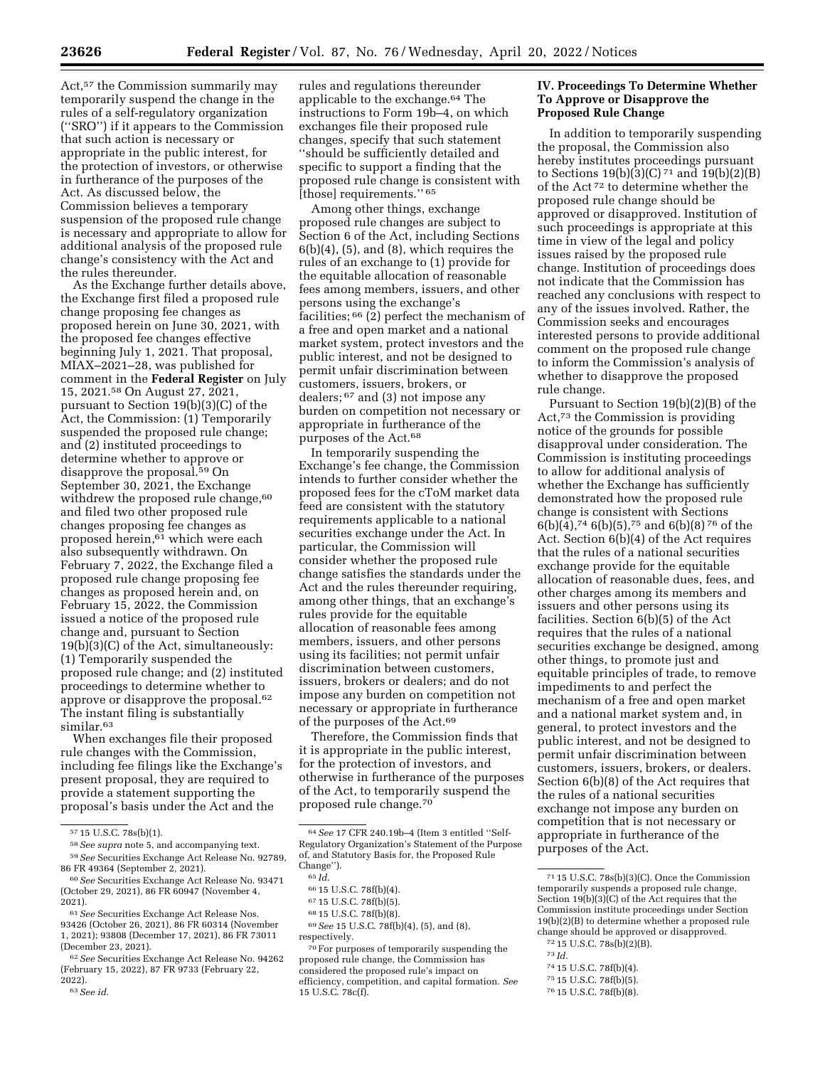Act,<sup>57</sup> the Commission summarily may temporarily suspend the change in the rules of a self-regulatory organization (''SRO'') if it appears to the Commission that such action is necessary or appropriate in the public interest, for the protection of investors, or otherwise in furtherance of the purposes of the Act. As discussed below, the Commission believes a temporary suspension of the proposed rule change is necessary and appropriate to allow for additional analysis of the proposed rule change's consistency with the Act and the rules thereunder.

As the Exchange further details above, the Exchange first filed a proposed rule change proposing fee changes as proposed herein on June 30, 2021, with the proposed fee changes effective beginning July 1, 2021. That proposal, MIAX–2021–28, was published for comment in the **Federal Register** on July 15, 2021.58 On August 27, 2021, pursuant to Section 19(b)(3)(C) of the Act, the Commission: (1) Temporarily suspended the proposed rule change; and (2) instituted proceedings to determine whether to approve or disapprove the proposal.59 On September 30, 2021, the Exchange withdrew the proposed rule change,<sup>60</sup> and filed two other proposed rule changes proposing fee changes as proposed herein,<sup>61</sup> which were each also subsequently withdrawn. On February 7, 2022, the Exchange filed a proposed rule change proposing fee changes as proposed herein and, on February 15, 2022, the Commission issued a notice of the proposed rule change and, pursuant to Section 19(b)(3)(C) of the Act, simultaneously: (1) Temporarily suspended the proposed rule change; and (2) instituted proceedings to determine whether to approve or disapprove the proposal.62 The instant filing is substantially similar.<sup>63</sup>

When exchanges file their proposed rule changes with the Commission, including fee filings like the Exchange's present proposal, they are required to provide a statement supporting the proposal's basis under the Act and the

rules and regulations thereunder applicable to the exchange.64 The instructions to Form 19b–4, on which exchanges file their proposed rule changes, specify that such statement ''should be sufficiently detailed and specific to support a finding that the proposed rule change is consistent with [those] requirements.'' 65

Among other things, exchange proposed rule changes are subject to Section 6 of the Act, including Sections  $6(b)(4)$ ,  $(5)$ , and  $(8)$ , which requires the rules of an exchange to (1) provide for the equitable allocation of reasonable fees among members, issuers, and other persons using the exchange's facilities;  $66$  (2) perfect the mechanism of a free and open market and a national market system, protect investors and the public interest, and not be designed to permit unfair discrimination between customers, issuers, brokers, or dealers; 67 and (3) not impose any burden on competition not necessary or appropriate in furtherance of the purposes of the Act.68

In temporarily suspending the Exchange's fee change, the Commission intends to further consider whether the proposed fees for the cToM market data feed are consistent with the statutory requirements applicable to a national securities exchange under the Act. In particular, the Commission will consider whether the proposed rule change satisfies the standards under the Act and the rules thereunder requiring, among other things, that an exchange's rules provide for the equitable allocation of reasonable fees among members, issuers, and other persons using its facilities; not permit unfair discrimination between customers, issuers, brokers or dealers; and do not impose any burden on competition not necessary or appropriate in furtherance of the purposes of the Act.69

Therefore, the Commission finds that it is appropriate in the public interest, for the protection of investors, and otherwise in furtherance of the purposes of the Act, to temporarily suspend the proposed rule change.70

69*See* 15 U.S.C. 78f(b)(4), (5), and (8), respectively.

70For purposes of temporarily suspending the proposed rule change, the Commission has considered the proposed rule's impact on efficiency, competition, and capital formation. *See*  15 U.S.C. 78c(f).

## **IV. Proceedings To Determine Whether To Approve or Disapprove the Proposed Rule Change**

In addition to temporarily suspending the proposal, the Commission also hereby institutes proceedings pursuant to Sections  $19(b)(3)(C)^{71}$  and  $19(b)(2)(B)$ of the Act 72 to determine whether the proposed rule change should be approved or disapproved. Institution of such proceedings is appropriate at this time in view of the legal and policy issues raised by the proposed rule change. Institution of proceedings does not indicate that the Commission has reached any conclusions with respect to any of the issues involved. Rather, the Commission seeks and encourages interested persons to provide additional comment on the proposed rule change to inform the Commission's analysis of whether to disapprove the proposed rule change.

Pursuant to Section 19(b)(2)(B) of the Act,73 the Commission is providing notice of the grounds for possible disapproval under consideration. The Commission is instituting proceedings to allow for additional analysis of whether the Exchange has sufficiently demonstrated how the proposed rule change is consistent with Sections 6(b)(4),74 6(b)(5),75 and 6(b)(8) 76 of the Act. Section 6(b)(4) of the Act requires that the rules of a national securities exchange provide for the equitable allocation of reasonable dues, fees, and other charges among its members and issuers and other persons using its facilities. Section 6(b)(5) of the Act requires that the rules of a national securities exchange be designed, among other things, to promote just and equitable principles of trade, to remove impediments to and perfect the mechanism of a free and open market and a national market system and, in general, to protect investors and the public interest, and not be designed to permit unfair discrimination between customers, issuers, brokers, or dealers. Section 6(b)(8) of the Act requires that the rules of a national securities exchange not impose any burden on competition that is not necessary or appropriate in furtherance of the purposes of the Act.

- 73 *Id.* 
	-
- 74 15 U.S.C. 78f(b)(4).
- 75 15 U.S.C. 78f(b)(5).
- 76 15 U.S.C. 78f(b)(8).

<sup>57</sup> 15 U.S.C. 78s(b)(1).

<sup>58</sup>*See supra* note 5, and accompanying text.

<sup>59</sup>*See* Securities Exchange Act Release No. 92789, 86 FR 49364 (September 2, 2021).

<sup>60</sup>*See* Securities Exchange Act Release No. 93471 (October 29, 2021), 86 FR 60947 (November 4, 2021).

<sup>61</sup>*See* Securities Exchange Act Release Nos. 93426 (October 26, 2021), 86 FR 60314 (November 1, 2021); 93808 (December 17, 2021), 86 FR 73011 (December 23, 2021).

<sup>62</sup>*See* Securities Exchange Act Release No. 94262 (February 15, 2022), 87 FR 9733 (February 22, 2022).

<sup>63</sup>*See id.* 

<sup>64</sup>*See* 17 CFR 240.19b–4 (Item 3 entitled ''Self-Regulatory Organization's Statement of the Purpose of, and Statutory Basis for, the Proposed Rule Change'').

<sup>65</sup> *Id.* 

<sup>66</sup> 15 U.S.C. 78f(b)(4).

<sup>67</sup> 15 U.S.C. 78f(b)(5).

<sup>68</sup> 15 U.S.C. 78f(b)(8).

<sup>71</sup> 15 U.S.C. 78s(b)(3)(C). Once the Commission temporarily suspends a proposed rule change, Section 19(b)(3)(C) of the Act requires that the Commission institute proceedings under Section 19(b)(2)(B) to determine whether a proposed rule change should be approved or disapproved. 72 15 U.S.C. 78s(b)(2)(B).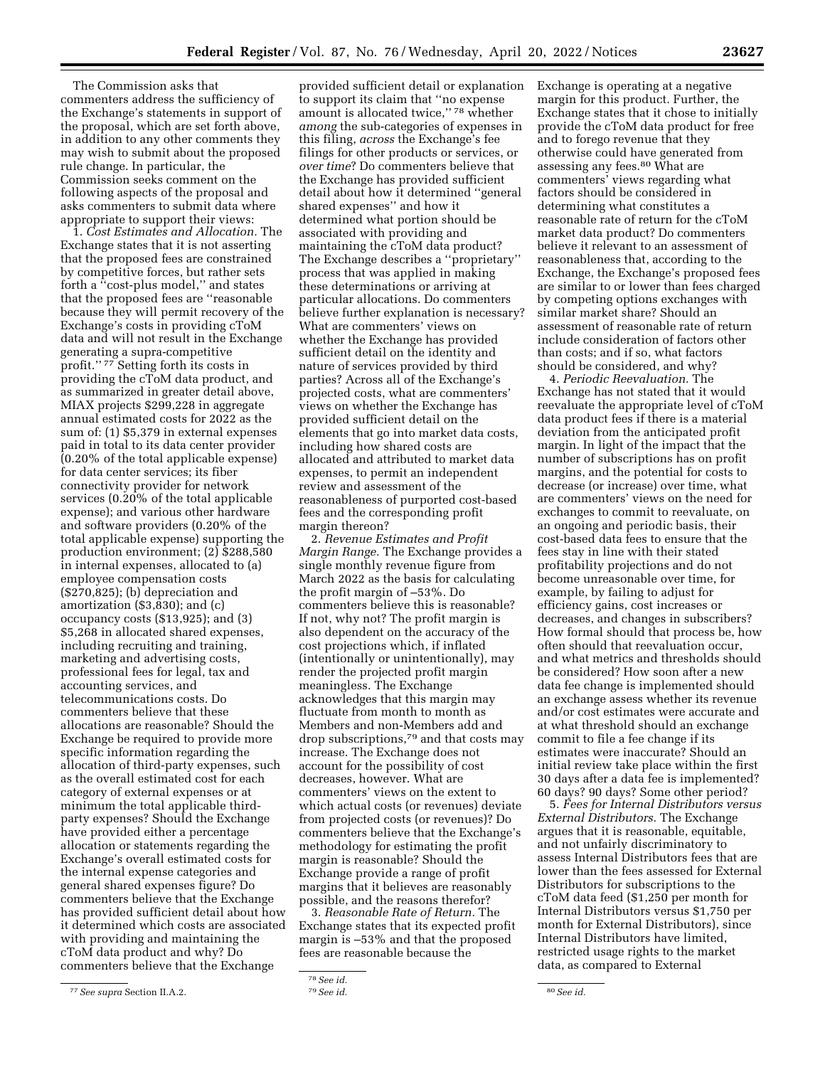The Commission asks that commenters address the sufficiency of the Exchange's statements in support of the proposal, which are set forth above, in addition to any other comments they may wish to submit about the proposed rule change. In particular, the Commission seeks comment on the following aspects of the proposal and asks commenters to submit data where appropriate to support their views:

1. *Cost Estimates and Allocation.* The Exchange states that it is not asserting that the proposed fees are constrained by competitive forces, but rather sets forth a ''cost-plus model,'' and states that the proposed fees are ''reasonable because they will permit recovery of the Exchange's costs in providing cToM data and will not result in the Exchange generating a supra-competitive profit.'' 77 Setting forth its costs in providing the cToM data product, and as summarized in greater detail above, MIAX projects \$299,228 in aggregate annual estimated costs for 2022 as the sum of: (1) \$5,379 in external expenses paid in total to its data center provider (0.20% of the total applicable expense) for data center services; its fiber connectivity provider for network services (0.20% of the total applicable expense); and various other hardware and software providers (0.20% of the total applicable expense) supporting the production environment; (2) \$288,580 in internal expenses, allocated to (a) employee compensation costs (\$270,825); (b) depreciation and amortization (\$3,830); and (c) occupancy costs (\$13,925); and (3) \$5,268 in allocated shared expenses, including recruiting and training, marketing and advertising costs, professional fees for legal, tax and accounting services, and telecommunications costs. Do commenters believe that these allocations are reasonable? Should the Exchange be required to provide more specific information regarding the allocation of third-party expenses, such as the overall estimated cost for each category of external expenses or at minimum the total applicable thirdparty expenses? Should the Exchange have provided either a percentage allocation or statements regarding the Exchange's overall estimated costs for the internal expense categories and general shared expenses figure? Do commenters believe that the Exchange has provided sufficient detail about how it determined which costs are associated with providing and maintaining the cToM data product and why? Do commenters believe that the Exchange

provided sufficient detail or explanation to support its claim that ''no expense amount is allocated twice,'' 78 whether *among* the sub-categories of expenses in this filing, *across* the Exchange's fee filings for other products or services, or *over time*? Do commenters believe that the Exchange has provided sufficient detail about how it determined ''general shared expenses'' and how it determined what portion should be associated with providing and maintaining the cToM data product? The Exchange describes a ''proprietary'' process that was applied in making these determinations or arriving at particular allocations. Do commenters believe further explanation is necessary? What are commenters' views on whether the Exchange has provided sufficient detail on the identity and nature of services provided by third parties? Across all of the Exchange's projected costs, what are commenters' views on whether the Exchange has provided sufficient detail on the elements that go into market data costs, including how shared costs are allocated and attributed to market data expenses, to permit an independent review and assessment of the reasonableness of purported cost-based fees and the corresponding profit margin thereon?

2. *Revenue Estimates and Profit Margin Range.* The Exchange provides a single monthly revenue figure from March 2022 as the basis for calculating the profit margin of –53%. Do commenters believe this is reasonable? If not, why not? The profit margin is also dependent on the accuracy of the cost projections which, if inflated (intentionally or unintentionally), may render the projected profit margin meaningless. The Exchange acknowledges that this margin may fluctuate from month to month as Members and non-Members add and drop subscriptions,79 and that costs may increase. The Exchange does not account for the possibility of cost decreases, however. What are commenters' views on the extent to which actual costs (or revenues) deviate from projected costs (or revenues)? Do commenters believe that the Exchange's methodology for estimating the profit margin is reasonable? Should the Exchange provide a range of profit margins that it believes are reasonably possible, and the reasons therefor?

3. *Reasonable Rate of Return.* The Exchange states that its expected profit margin is –53% and that the proposed fees are reasonable because the

Exchange is operating at a negative margin for this product. Further, the Exchange states that it chose to initially provide the cToM data product for free and to forego revenue that they otherwise could have generated from assessing any fees.80 What are commenters' views regarding what factors should be considered in determining what constitutes a reasonable rate of return for the cToM market data product? Do commenters believe it relevant to an assessment of reasonableness that, according to the Exchange, the Exchange's proposed fees are similar to or lower than fees charged by competing options exchanges with similar market share? Should an assessment of reasonable rate of return include consideration of factors other than costs; and if so, what factors should be considered, and why?

4. *Periodic Reevaluation.* The Exchange has not stated that it would reevaluate the appropriate level of cToM data product fees if there is a material deviation from the anticipated profit margin. In light of the impact that the number of subscriptions has on profit margins, and the potential for costs to decrease (or increase) over time, what are commenters' views on the need for exchanges to commit to reevaluate, on an ongoing and periodic basis, their cost-based data fees to ensure that the fees stay in line with their stated profitability projections and do not become unreasonable over time, for example, by failing to adjust for efficiency gains, cost increases or decreases, and changes in subscribers? How formal should that process be, how often should that reevaluation occur, and what metrics and thresholds should be considered? How soon after a new data fee change is implemented should an exchange assess whether its revenue and/or cost estimates were accurate and at what threshold should an exchange commit to file a fee change if its estimates were inaccurate? Should an initial review take place within the first 30 days after a data fee is implemented? 60 days? 90 days? Some other period?

5. *Fees for Internal Distributors versus External Distributors.* The Exchange argues that it is reasonable, equitable, and not unfairly discriminatory to assess Internal Distributors fees that are lower than the fees assessed for External Distributors for subscriptions to the cToM data feed (\$1,250 per month for Internal Distributors versus \$1,750 per month for External Distributors), since Internal Distributors have limited, restricted usage rights to the market data, as compared to External

<sup>77</sup>*See supra* Section II.A.2.

<sup>78</sup>*See id.* 

<sup>79</sup>*See id.* 80*See id.*